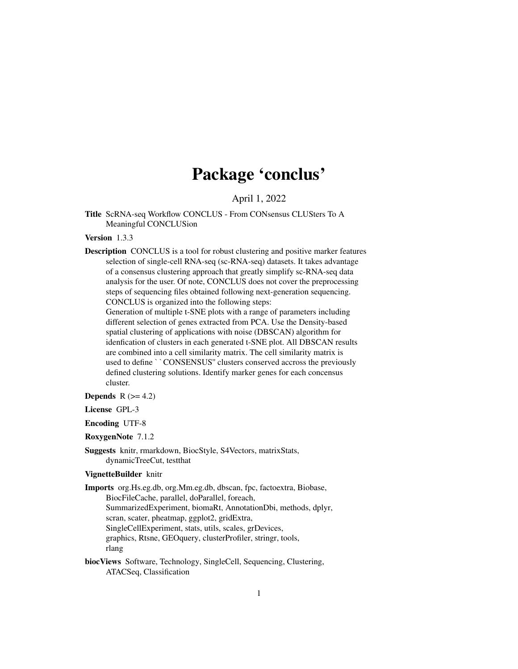# Package 'conclus'

April 1, 2022

Title ScRNA-seq Workflow CONCLUS - From CONsensus CLUSters To A Meaningful CONCLUSion

Version 1.3.3

Description CONCLUS is a tool for robust clustering and positive marker features selection of single-cell RNA-seq (sc-RNA-seq) datasets. It takes advantage of a consensus clustering approach that greatly simplify sc-RNA-seq data analysis for the user. Of note, CONCLUS does not cover the preprocessing steps of sequencing files obtained following next-generation sequencing. CONCLUS is organized into the following steps:

Generation of multiple t-SNE plots with a range of parameters including different selection of genes extracted from PCA. Use the Density-based spatial clustering of applications with noise (DBSCAN) algorithm for idenfication of clusters in each generated t-SNE plot. All DBSCAN results are combined into a cell similarity matrix. The cell similarity matrix is used to define ``CONSENSUS'' clusters conserved accross the previously defined clustering solutions. Identify marker genes for each concensus cluster.

**Depends**  $R$  ( $>= 4.2$ )

License GPL-3

Encoding UTF-8

RoxygenNote 7.1.2

Suggests knitr, rmarkdown, BiocStyle, S4Vectors, matrixStats, dynamicTreeCut, testthat

#### VignetteBuilder knitr

Imports org.Hs.eg.db, org.Mm.eg.db, dbscan, fpc, factoextra, Biobase, BiocFileCache, parallel, doParallel, foreach, SummarizedExperiment, biomaRt, AnnotationDbi, methods, dplyr, scran, scater, pheatmap, ggplot2, gridExtra, SingleCellExperiment, stats, utils, scales, grDevices, graphics, Rtsne, GEOquery, clusterProfiler, stringr, tools, rlang

biocViews Software, Technology, SingleCell, Sequencing, Clustering, ATACSeq, Classification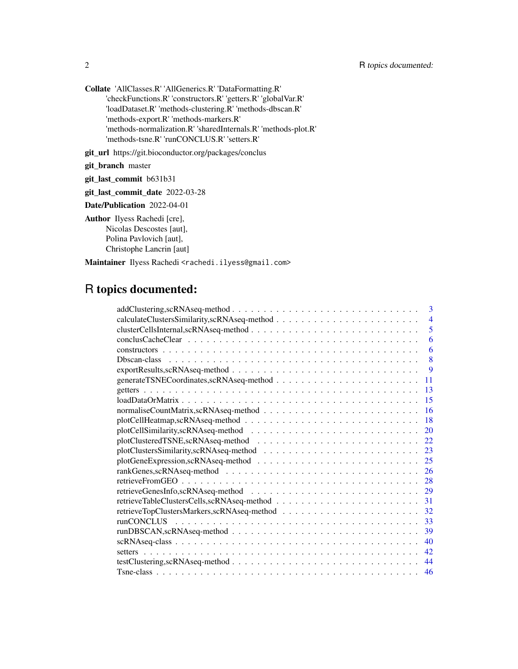Collate 'AllClasses.R' 'AllGenerics.R' 'DataFormatting.R' 'checkFunctions.R' 'constructors.R' 'getters.R' 'globalVar.R' 'loadDataset.R' 'methods-clustering.R' 'methods-dbscan.R' 'methods-export.R' 'methods-markers.R' 'methods-normalization.R' 'sharedInternals.R' 'methods-plot.R' 'methods-tsne.R' 'runCONCLUS.R' 'setters.R'

git\_url https://git.bioconductor.org/packages/conclus

git\_branch master

git\_last\_commit b631b31

git\_last\_commit\_date 2022-03-28

Date/Publication 2022-04-01

Author Ilyess Rachedi [cre], Nicolas Descostes [aut], Polina Pavlovich [aut], Christophe Lancrin [aut]

Maintainer Ilyess Rachedi <rachedi.ilyess@gmail.com>

# R topics documented:

| 3              |
|----------------|
| $\overline{4}$ |
| 5              |
| 6              |
| 6              |
| 8              |
| 9              |
| 11             |
| 13             |
| 15             |
| 16             |
| 18             |
| 20             |
| 22             |
| 23             |
| 25             |
| 26             |
| 28             |
| 29             |
| 31             |
| 32             |
| 33             |
| 39             |
| 40             |
| 42             |
| 44             |
| 46             |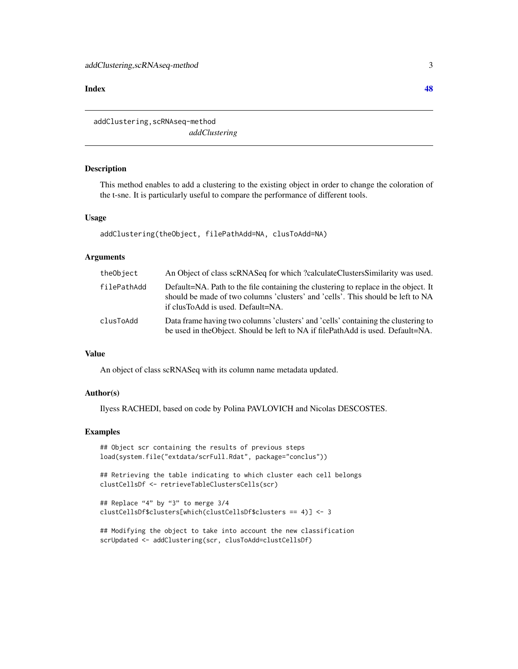#### <span id="page-2-0"></span>**Index a** set of the contract of the contract of the contract of the contract of the contract of the contract of the contract of the contract of the contract of the contract of the contract of the contract of the contrac

addClustering,scRNAseq-method *addClustering*

#### Description

This method enables to add a clustering to the existing object in order to change the coloration of the t-sne. It is particularly useful to compare the performance of different tools.

#### Usage

```
addClustering(theObject, filePathAdd=NA, clusToAdd=NA)
```
# Arguments

| theObject   | An Object of class scRNASeq for which ?calculateClustersSimilarity was used.                                                                                                                                |
|-------------|-------------------------------------------------------------------------------------------------------------------------------------------------------------------------------------------------------------|
| filePathAdd | Default=NA. Path to the file containing the clustering to replace in the object. It<br>should be made of two columns 'clusters' and 'cells'. This should be left to NA<br>if clusToAdd is used. Default=NA. |
| clusToAdd   | Data frame having two columns 'clusters' and 'cells' containing the clustering to<br>be used in the Object. Should be left to NA if filePathAdd is used. Default=NA.                                        |

# Value

An object of class scRNASeq with its column name metadata updated.

# Author(s)

Ilyess RACHEDI, based on code by Polina PAVLOVICH and Nicolas DESCOSTES.

#### Examples

```
## Object scr containing the results of previous steps
load(system.file("extdata/scrFull.Rdat", package="conclus"))
```
## Retrieving the table indicating to which cluster each cell belongs clustCellsDf <- retrieveTableClustersCells(scr)

```
## Replace "4" by "3" to merge 3/4
clustCellsDf$clusters[which(clustCellsDf$clusters == 4)] <- 3
```
## Modifying the object to take into account the new classification scrUpdated <- addClustering(scr, clusToAdd=clustCellsDf)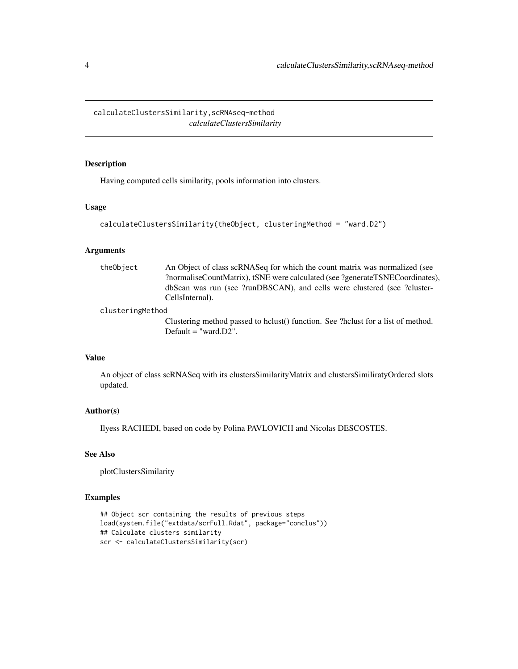<span id="page-3-0"></span>calculateClustersSimilarity,scRNAseq-method *calculateClustersSimilarity*

# Description

Having computed cells similarity, pools information into clusters.

# Usage

```
calculateClustersSimilarity(theObject, clusteringMethod = "ward.D2")
```
### Arguments

| theObject | An Object of class scRNASeq for which the count matrix was normalized (see   |
|-----------|------------------------------------------------------------------------------|
|           | ?normaliseCountMatrix), tSNE were calculated (see ?generateTSNECoordinates), |
|           | dbScan was run (see ?runDBSCAN), and cells were clustered (see ?cluster-     |
|           | CellsInternal).                                                              |
|           |                                                                              |

# clusteringMethod

Clustering method passed to hclust() function. See ?hclust for a list of method. Default = "ward.D2".

# Value

An object of class scRNASeq with its clustersSimilarityMatrix and clustersSimiliratyOrdered slots updated.

# Author(s)

Ilyess RACHEDI, based on code by Polina PAVLOVICH and Nicolas DESCOSTES.

# See Also

plotClustersSimilarity

# Examples

```
## Object scr containing the results of previous steps
load(system.file("extdata/scrFull.Rdat", package="conclus"))
## Calculate clusters similarity
scr <- calculateClustersSimilarity(scr)
```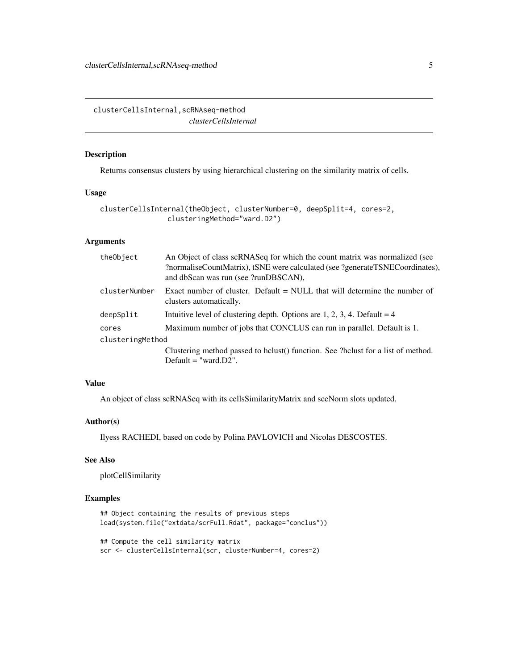<span id="page-4-0"></span>clusterCellsInternal,scRNAseq-method *clusterCellsInternal*

# Description

Returns consensus clusters by using hierarchical clustering on the similarity matrix of cells.

#### Usage

```
clusterCellsInternal(theObject, clusterNumber=0, deepSplit=4, cores=2,
                clusteringMethod="ward.D2")
```
# Arguments

| theObject        | An Object of class scRNASeq for which the count matrix was normalized (see<br>?normaliseCountMatrix), tSNE were calculated (see ?generateTSNECoordinates),<br>and dbScan was run (see ?runDBSCAN), |  |
|------------------|----------------------------------------------------------------------------------------------------------------------------------------------------------------------------------------------------|--|
| clusterNumber    | Exact number of cluster. Default $=$ NULL that will determine the number of<br>clusters automatically.                                                                                             |  |
| deepSplit        | Intuitive level of clustering depth. Options are 1, 2, 3, 4. Default = $4$                                                                                                                         |  |
| cores            | Maximum number of jobs that CONCLUS can run in parallel. Default is 1.                                                                                                                             |  |
| clusteringMethod |                                                                                                                                                                                                    |  |
|                  | Clustering method passed to holust() function. See ?holust for a list of method.<br>Default $=$ "ward. $D2$ ".                                                                                     |  |

# Value

An object of class scRNASeq with its cellsSimilarityMatrix and sceNorm slots updated.

# Author(s)

Ilyess RACHEDI, based on code by Polina PAVLOVICH and Nicolas DESCOSTES.

# See Also

plotCellSimilarity

## Examples

```
## Object containing the results of previous steps
load(system.file("extdata/scrFull.Rdat", package="conclus"))
```

```
## Compute the cell similarity matrix
scr <- clusterCellsInternal(scr, clusterNumber=4, cores=2)
```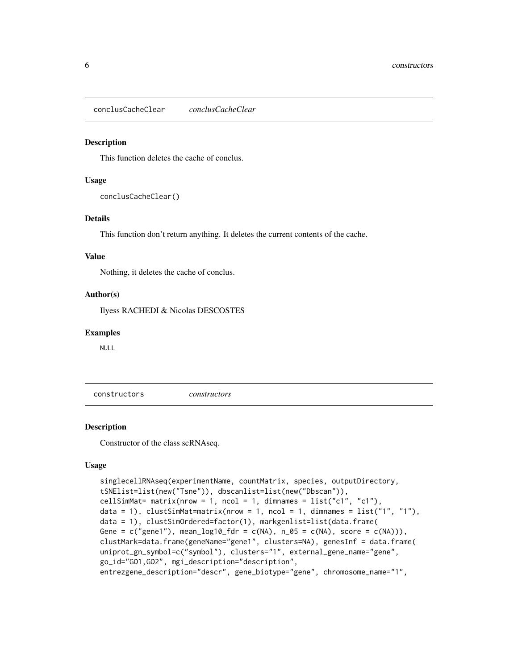<span id="page-5-0"></span>conclusCacheClear *conclusCacheClear*

#### **Description**

This function deletes the cache of conclus.

#### Usage

conclusCacheClear()

#### Details

This function don't return anything. It deletes the current contents of the cache.

#### Value

Nothing, it deletes the cache of conclus.

#### Author(s)

Ilyess RACHEDI & Nicolas DESCOSTES

#### Examples

NULL

constructors *constructors*

#### Description

Constructor of the class scRNAseq.

#### Usage

```
singlecellRNAseq(experimentName, countMatrix, species, outputDirectory,
tSNElist=list(new("Tsne")), dbscanlist=list(new("Dbscan")),
cellSimMat= matrix(nrow = 1, ncol = 1, dimnames = list("c1", "c1"),data = 1), clustSimMat=matrix(nrow = 1, ncol = 1, dimnames = list("1", "1"),data = 1), clustSimOrdered=factor(1), markgenlist=list(data.frame(
Gene = c("gene1"), mean_log10_fdr = c(NA), n_05 = c(NA), score = c(NA))),
clustMark=data.frame(geneName="gene1", clusters=NA), genesInf = data.frame(
uniprot_gn_symbol=c("symbol"), clusters="1", external_gene_name="gene",
go_id="GO1,GO2", mgi_description="description",
entrezgene_description="descr", gene_biotype="gene", chromosome_name="1",
```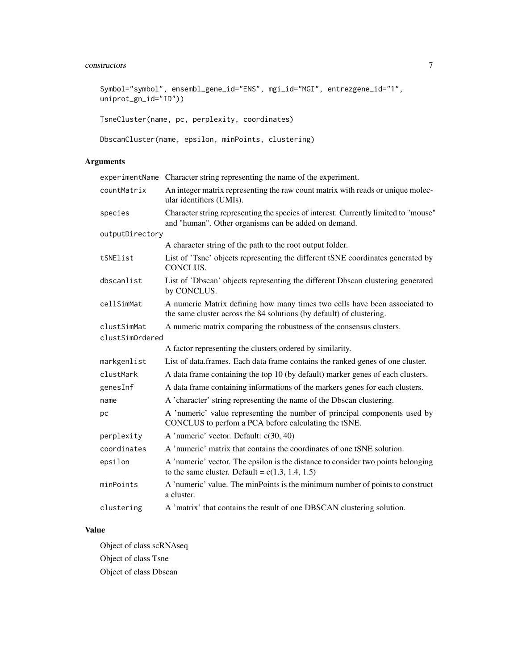# constructors 7

```
Symbol="symbol", ensembl_gene_id="ENS", mgi_id="MGI", entrezgene_id="1",
uniprot_gn_id="ID"))
```

```
TsneCluster(name, pc, perplexity, coordinates)
```

```
DbscanCluster(name, epsilon, minPoints, clustering)
```
# Arguments

|                 | experimentName Character string representing the name of the experiment.                                                                           |
|-----------------|----------------------------------------------------------------------------------------------------------------------------------------------------|
| countMatrix     | An integer matrix representing the raw count matrix with reads or unique molec-<br>ular identifiers (UMIs).                                        |
| species         | Character string representing the species of interest. Currently limited to "mouse"<br>and "human". Other organisms can be added on demand.        |
| outputDirectory |                                                                                                                                                    |
|                 | A character string of the path to the root output folder.                                                                                          |
| tSNElist        | List of 'Tsne' objects representing the different tSNE coordinates generated by<br>CONCLUS.                                                        |
| dbscanlist      | List of 'Dbscan' objects representing the different Dbscan clustering generated<br>by CONCLUS.                                                     |
| cellSimMat      | A numeric Matrix defining how many times two cells have been associated to<br>the same cluster across the 84 solutions (by default) of clustering. |
| clustSimMat     | A numeric matrix comparing the robustness of the consensus clusters.                                                                               |
| clustSimOrdered |                                                                                                                                                    |
|                 | A factor representing the clusters ordered by similarity.                                                                                          |
| markgenlist     | List of data.frames. Each data frame contains the ranked genes of one cluster.                                                                     |
| clustMark       | A data frame containing the top 10 (by default) marker genes of each clusters.                                                                     |
| genesInf        | A data frame containing informations of the markers genes for each clusters.                                                                       |
| name            | A 'character' string representing the name of the Dbscan clustering.                                                                               |
| pс              | A 'numeric' value representing the number of principal components used by<br>CONCLUS to perfom a PCA before calculating the tSNE.                  |
| perplexity      | A 'numeric' vector. Default: c(30, 40)                                                                                                             |
| coordinates     | A 'numeric' matrix that contains the coordinates of one tSNE solution.                                                                             |
| epsilon         | A 'numeric' vector. The epsilon is the distance to consider two points belonging<br>to the same cluster. Default = $c(1.3, 1.4, 1.5)$              |
| minPoints       | A 'numeric' value. The minPoints is the minimum number of points to construct<br>a cluster.                                                        |
| clustering      | A 'matrix' that contains the result of one DBSCAN clustering solution.                                                                             |

# Value

Object of class scRNAseq Object of class Tsne Object of class Dbscan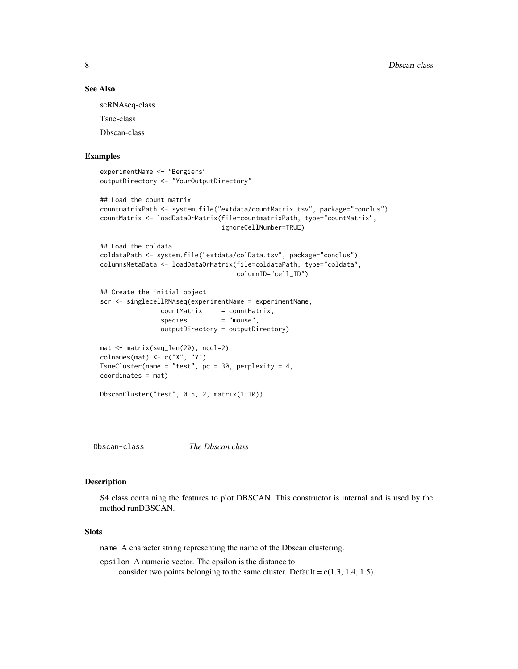#### See Also

scRNAseq-class

Tsne-class

Dbscan-class

# Examples

```
experimentName <- "Bergiers"
outputDirectory <- "YourOutputDirectory"
## Load the count matrix
countmatrixPath <- system.file("extdata/countMatrix.tsv", package="conclus")
countMatrix <- loadDataOrMatrix(file=countmatrixPath, type="countMatrix",
                                ignoreCellNumber=TRUE)
## Load the coldata
coldataPath <- system.file("extdata/colData.tsv", package="conclus")
columnsMetaData <- loadDataOrMatrix(file=coldataPath, type="coldata",
                                    columnID="cell_ID")
## Create the initial object
scr <- singlecellRNAseq(experimentName = experimentName,
                countMatrix = countMatrix,
                species = "mouse",
                outputDirectory = outputDirectory)
mat <- matrix(seq_len(20), ncol=2)
\text{colnames}(\text{mat}) \leftarrow c("X", "Y")TsneCluster(name = "test", pc = 30, perplexity = 4,
coordinates = mat)
DbscanCluster("test", 0.5, 2, matrix(1:10))
```
Dbscan-class *The Dbscan class*

#### Description

S4 class containing the features to plot DBSCAN. This constructor is internal and is used by the method runDBSCAN.

# Slots

name A character string representing the name of the Dbscan clustering.

epsilon A numeric vector. The epsilon is the distance to consider two points belonging to the same cluster. Default =  $c(1.3, 1.4, 1.5)$ .

<span id="page-7-0"></span>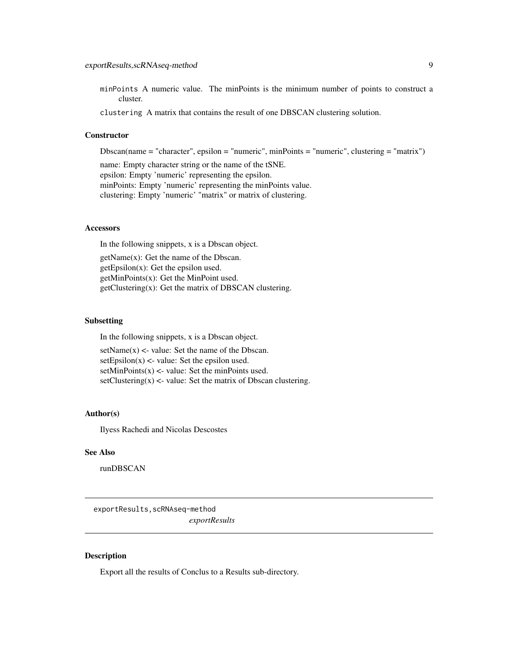<span id="page-8-0"></span>minPoints A numeric value. The minPoints is the minimum number of points to construct a cluster.

clustering A matrix that contains the result of one DBSCAN clustering solution.

#### **Constructor**

Dbscan(name = "character", epsilon = "numeric", minPoints = "numeric", clustering = "matrix")

name: Empty character string or the name of the tSNE. epsilon: Empty 'numeric' representing the epsilon. minPoints: Empty 'numeric' representing the minPoints value. clustering: Empty 'numeric' "matrix" or matrix of clustering.

# Accessors

In the following snippets, x is a Dbscan object.

getName(x): Get the name of the Dbscan.  $getEpsilon(x)$ : Get the epsilon used. getMinPoints(x): Get the MinPoint used. getClustering(x): Get the matrix of DBSCAN clustering.

#### Subsetting

In the following snippets, x is a Dbscan object.  $setName(x) < -value: Set the name of the Dbscan.$  $setEpsilon(x)$  <- value: Set the epsilon used.  $setMinPoints(x)$  <- value: Set the minPoints used. setClustering $(x)$  <- value: Set the matrix of Dbscan clustering.

# Author(s)

Ilyess Rachedi and Nicolas Descostes

# See Also

runDBSCAN

exportResults,scRNAseq-method *exportResults*

#### Description

Export all the results of Conclus to a Results sub-directory.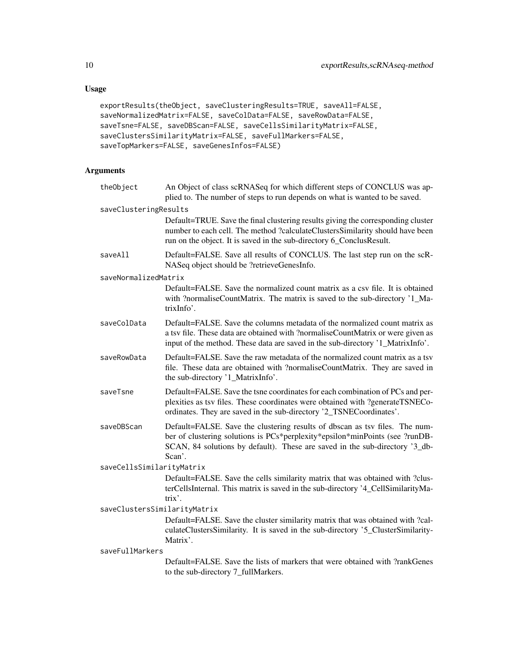# Usage

```
exportResults(theObject, saveClusteringResults=TRUE, saveAll=FALSE,
saveNormalizedMatrix=FALSE, saveColData=FALSE, saveRowData=FALSE,
saveTsne=FALSE, saveDBScan=FALSE, saveCellsSimilarityMatrix=FALSE,
saveClustersSimilarityMatrix=FALSE, saveFullMarkers=FALSE,
saveTopMarkers=FALSE, saveGenesInfos=FALSE)
```

| theObject                    | An Object of class scRNASeq for which different steps of CONCLUS was ap-<br>plied to. The number of steps to run depends on what is wanted to be saved.                                                                                              |  |
|------------------------------|------------------------------------------------------------------------------------------------------------------------------------------------------------------------------------------------------------------------------------------------------|--|
| saveClusteringResults        |                                                                                                                                                                                                                                                      |  |
|                              | Default=TRUE. Save the final clustering results giving the corresponding cluster<br>number to each cell. The method ?calculateClustersSimilarity should have been<br>run on the object. It is saved in the sub-directory 6_ConclusResult.            |  |
| saveAll                      | Default=FALSE. Save all results of CONCLUS. The last step run on the scR-<br>NASeq object should be ?retrieveGenesInfo.                                                                                                                              |  |
| saveNormalizedMatrix         |                                                                                                                                                                                                                                                      |  |
|                              | Default=FALSE. Save the normalized count matrix as a csv file. It is obtained<br>with ?normaliseCountMatrix. The matrix is saved to the sub-directory '1_Ma-<br>trixInfo'.                                                                           |  |
| saveColData                  | Default=FALSE. Save the columns metadata of the normalized count matrix as<br>a tsv file. These data are obtained with ?normaliseCountMatrix or were given as<br>input of the method. These data are saved in the sub-directory '1_MatrixInfo'.      |  |
| saveRowData                  | Default=FALSE. Save the raw metadata of the normalized count matrix as a tsv<br>file. These data are obtained with ?normaliseCountMatrix. They are saved in<br>the sub-directory '1_MatrixInfo'.                                                     |  |
| saveTsne                     | Default=FALSE. Save the tsne coordinates for each combination of PCs and per-<br>plexities as tsv files. These coordinates were obtained with ?generateTSNECo-<br>ordinates. They are saved in the sub-directory '2_TSNECoordinates'.                |  |
| saveDBScan                   | Default=FALSE. Save the clustering results of dbscan as tsv files. The num-<br>ber of clustering solutions is PCs*perplexity*epsilon*minPoints (see ?runDB-<br>SCAN, 84 solutions by default). These are saved in the sub-directory '3_db-<br>Scan'. |  |
| saveCellsSimilarityMatrix    |                                                                                                                                                                                                                                                      |  |
|                              | Default=FALSE. Save the cells similarity matrix that was obtained with ?clus-<br>terCellsInternal. This matrix is saved in the sub-directory '4_CellSimilarityMa-<br>$trix$ .                                                                        |  |
| saveClustersSimilarityMatrix |                                                                                                                                                                                                                                                      |  |
|                              | Default=FALSE. Save the cluster similarity matrix that was obtained with ?cal-<br>culateClustersSimilarity. It is saved in the sub-directory '5_ClusterSimilarity-<br>Matrix'.                                                                       |  |
| saveFullMarkers              |                                                                                                                                                                                                                                                      |  |
|                              | Default=FALSE. Save the lists of markers that were obtained with ?rankGenes<br>to the sub-directory 7_fullMarkers.                                                                                                                                   |  |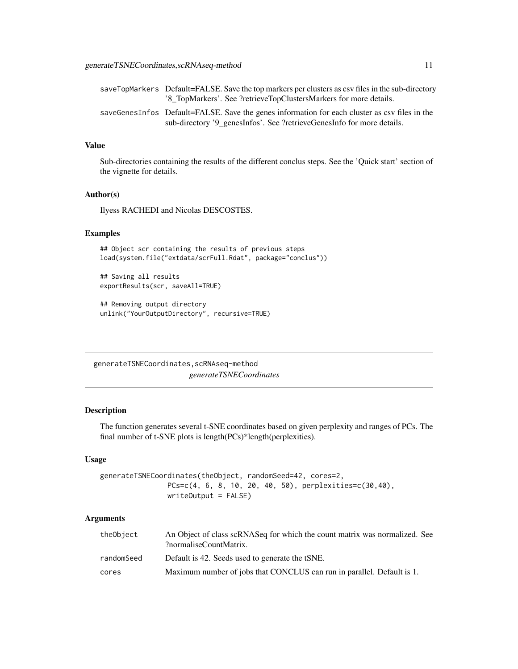<span id="page-10-0"></span>

| saveTopMarkers Default=FALSE. Save the top markers per clusters as csy files in the sub-directory |
|---------------------------------------------------------------------------------------------------|
| '8 TopMarkers'. See ?retrieveTopClustersMarkers for more details.                                 |
| saveGenesInfos Default=FALSE. Save the genes information for each cluster as csv files in the     |
| sub-directory '9 genes Infos'. See ? retrieve Genes Info for more details.                        |

# Value

Sub-directories containing the results of the different conclus steps. See the 'Quick start' section of the vignette for details.

#### Author(s)

Ilyess RACHEDI and Nicolas DESCOSTES.

#### Examples

```
## Object scr containing the results of previous steps
load(system.file("extdata/scrFull.Rdat", package="conclus"))
```
## Saving all results exportResults(scr, saveAll=TRUE)

```
## Removing output directory
unlink("YourOutputDirectory", recursive=TRUE)
```
generateTSNECoordinates,scRNAseq-method *generateTSNECoordinates*

#### Description

The function generates several t-SNE coordinates based on given perplexity and ranges of PCs. The final number of t-SNE plots is length(PCs)\*length(perplexities).

#### Usage

```
generateTSNECoordinates(theObject, randomSeed=42, cores=2,
                PCs=c(4, 6, 8, 10, 20, 40, 50), perplexities=c(30,40),
                writeOutput = FALSE)
```

| theObject  | An Object of class scRNASeq for which the count matrix was normalized. See<br>?normaliseCountMatrix. |
|------------|------------------------------------------------------------------------------------------------------|
| randomSeed | Default is 42. Seeds used to generate the tSNE.                                                      |
| cores      | Maximum number of jobs that CONCLUS can run in parallel. Default is 1.                               |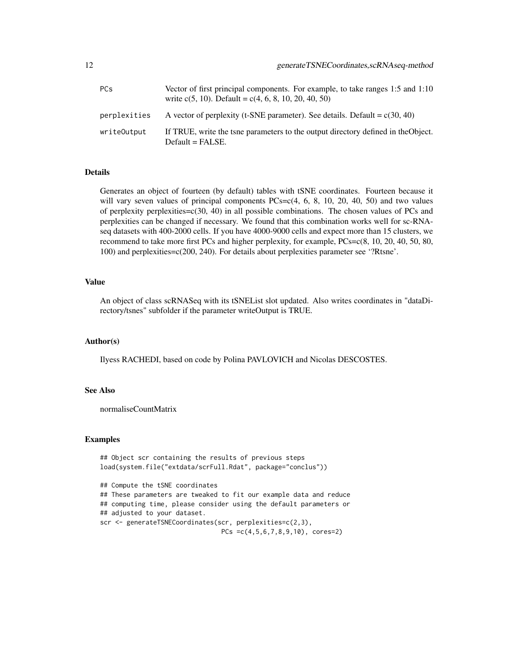| <b>PCs</b>   | Vector of first principal components. For example, to take ranges 1:5 and 1:10<br>write $c(5, 10)$ . Default = $c(4, 6, 8, 10, 20, 40, 50)$ |
|--------------|---------------------------------------------------------------------------------------------------------------------------------------------|
| perplexities | A vector of perplexity (t-SNE parameter). See details. Default = $c(30, 40)$                                                                |
| writeOutput  | If TRUE, write the tsne parameters to the output directory defined in the Object.<br>$Default = FALSE.$                                     |

# Details

Generates an object of fourteen (by default) tables with tSNE coordinates. Fourteen because it will vary seven values of principal components  $PCs=c(4, 6, 8, 10, 20, 40, 50)$  and two values of perplexity perplexities= $c(30, 40)$  in all possible combinations. The chosen values of PCs and perplexities can be changed if necessary. We found that this combination works well for sc-RNAseq datasets with 400-2000 cells. If you have 4000-9000 cells and expect more than 15 clusters, we recommend to take more first PCs and higher perplexity, for example,  $PCs=c(8, 10, 20, 40, 50, 80,$ 100) and perplexities=c(200, 240). For details about perplexities parameter see '?Rtsne'.

#### Value

An object of class scRNASeq with its tSNEList slot updated. Also writes coordinates in "dataDirectory/tsnes" subfolder if the parameter writeOutput is TRUE.

# Author(s)

Ilyess RACHEDI, based on code by Polina PAVLOVICH and Nicolas DESCOSTES.

#### See Also

normaliseCountMatrix

#### Examples

```
## Object scr containing the results of previous steps
load(system.file("extdata/scrFull.Rdat", package="conclus"))
## Compute the tSNE coordinates
## These parameters are tweaked to fit our example data and reduce
## computing time, please consider using the default parameters or
## adjusted to your dataset.
scr <- generateTSNECoordinates(scr, perplexities=c(2,3),
                                PCs =c(4,5,6,7,8,9,10), cores=2)
```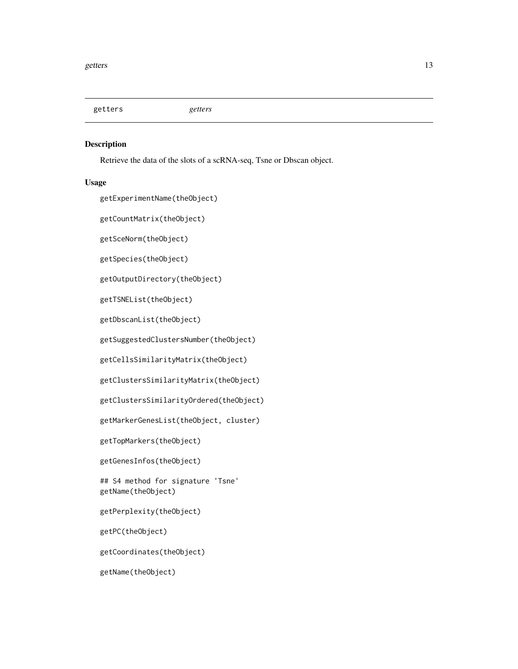<span id="page-12-0"></span>getters *getters*

#### Description

Retrieve the data of the slots of a scRNA-seq, Tsne or Dbscan object.

#### Usage

getExperimentName(theObject)

getCountMatrix(theObject)

getSceNorm(theObject)

getSpecies(theObject)

getOutputDirectory(theObject)

getTSNEList(theObject)

getDbscanList(theObject)

getSuggestedClustersNumber(theObject)

getCellsSimilarityMatrix(theObject)

getClustersSimilarityMatrix(theObject)

getClustersSimilarityOrdered(theObject)

getMarkerGenesList(theObject, cluster)

getTopMarkers(theObject)

getGenesInfos(theObject)

## S4 method for signature 'Tsne' getName(theObject)

getPerplexity(theObject)

getPC(theObject)

getCoordinates(theObject)

getName(theObject)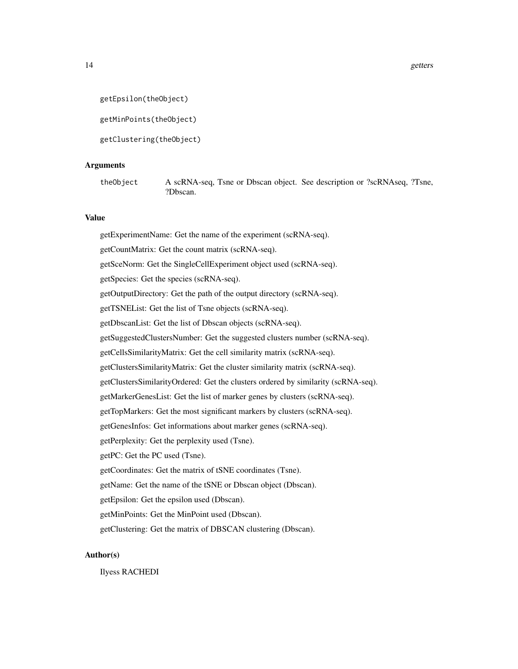```
getEpsilon(theObject)
```
getMinPoints(theObject)

getClustering(theObject)

# Arguments

theObject A scRNA-seq, Tsne or Dbscan object. See description or ?scRNAseq, ?Tsne, ?Dbscan.

# Value

getExperimentName: Get the name of the experiment (scRNA-seq). getCountMatrix: Get the count matrix (scRNA-seq). getSceNorm: Get the SingleCellExperiment object used (scRNA-seq). getSpecies: Get the species (scRNA-seq). getOutputDirectory: Get the path of the output directory (scRNA-seq). getTSNEList: Get the list of Tsne objects (scRNA-seq). getDbscanList: Get the list of Dbscan objects (scRNA-seq). getSuggestedClustersNumber: Get the suggested clusters number (scRNA-seq). getCellsSimilarityMatrix: Get the cell similarity matrix (scRNA-seq). getClustersSimilarityMatrix: Get the cluster similarity matrix (scRNA-seq). getClustersSimilarityOrdered: Get the clusters ordered by similarity (scRNA-seq). getMarkerGenesList: Get the list of marker genes by clusters (scRNA-seq). getTopMarkers: Get the most significant markers by clusters (scRNA-seq). getGenesInfos: Get informations about marker genes (scRNA-seq). getPerplexity: Get the perplexity used (Tsne). getPC: Get the PC used (Tsne). getCoordinates: Get the matrix of tSNE coordinates (Tsne). getName: Get the name of the tSNE or Dbscan object (Dbscan). getEpsilon: Get the epsilon used (Dbscan). getMinPoints: Get the MinPoint used (Dbscan). getClustering: Get the matrix of DBSCAN clustering (Dbscan).

# Author(s)

Ilyess RACHEDI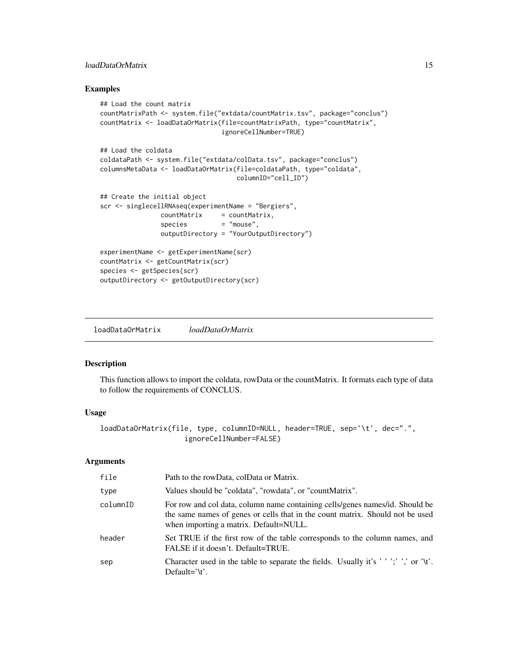# <span id="page-14-0"></span>loadDataOrMatrix 15

# Examples

```
## Load the count matrix
countMatrixPath <- system.file("extdata/countMatrix.tsv", package="conclus")
countMatrix <- loadDataOrMatrix(file=countMatrixPath, type="countMatrix",
                               ignoreCellNumber=TRUE)
## Load the coldata
coldataPath <- system.file("extdata/colData.tsv", package="conclus")
columnsMetaData <- loadDataOrMatrix(file=coldataPath, type="coldata",
                                   columnID="cell_ID")
## Create the initial object
scr <- singlecellRNAseq(experimentName = "Bergiers",
               countMatrix = countMatrix,
               species = "mouse",
               outputDirectory = "YourOutputDirectory")
experimentName <- getExperimentName(scr)
countMatrix <- getCountMatrix(scr)
species <- getSpecies(scr)
outputDirectory <- getOutputDirectory(scr)
```
loadDataOrMatrix *loadDataOrMatrix*

# Description

This function allows to import the coldata, rowData or the countMatrix. It formats each type of data to follow the requirements of CONCLUS.

# Usage

```
loadDataOrMatrix(file, type, columnID=NULL, header=TRUE, sep='\t', dec=".",
                    ignoreCellNumber=FALSE)
```

| file     | Path to the rowData, colData or Matrix.                                                                                                                                                                 |
|----------|---------------------------------------------------------------------------------------------------------------------------------------------------------------------------------------------------------|
| type     | Values should be "coldata", "rowdata", or "countMatrix".                                                                                                                                                |
| columnID | For row and col data, column name containing cells/genes names/id. Should be<br>the same names of genes or cells that in the count matrix. Should not be used<br>when importing a matrix. Default=NULL. |
| header   | Set TRUE if the first row of the table corresponds to the column names, and<br>FALSE if it doesn't. Default=TRUE.                                                                                       |
| sep      | Character used in the table to separate the fields. Usually it's ''';' ',' or '\t'.<br>Default= $\forall t$ .                                                                                           |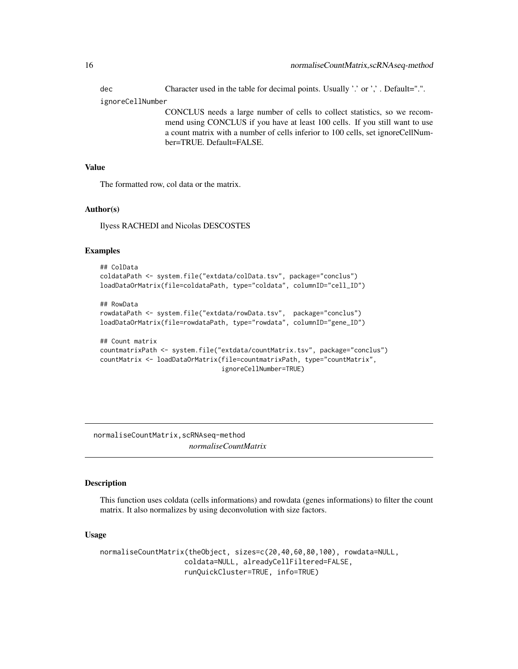<span id="page-15-0"></span>dec Character used in the table for decimal points. Usually '.' or ','. Default=".". ignoreCellNumber

CONCLUS needs a large number of cells to collect statistics, so we recommend using CONCLUS if you have at least 100 cells. If you still want to use a count matrix with a number of cells inferior to 100 cells, set ignoreCellNumber=TRUE. Default=FALSE.

# Value

The formatted row, col data or the matrix.

#### Author(s)

Ilyess RACHEDI and Nicolas DESCOSTES

# Examples

```
## ColData
coldataPath <- system.file("extdata/colData.tsv", package="conclus")
loadDataOrMatrix(file=coldataPath, type="coldata", columnID="cell_ID")
```

```
## RowData
rowdataPath <- system.file("extdata/rowData.tsv", package="conclus")
loadDataOrMatrix(file=rowdataPath, type="rowdata", columnID="gene_ID")
```

```
## Count matrix
countmatrixPath <- system.file("extdata/countMatrix.tsv", package="conclus")
countMatrix <- loadDataOrMatrix(file=countmatrixPath, type="countMatrix",
                                ignoreCellNumber=TRUE)
```
normaliseCountMatrix,scRNAseq-method *normaliseCountMatrix*

# Description

This function uses coldata (cells informations) and rowdata (genes informations) to filter the count matrix. It also normalizes by using deconvolution with size factors.

#### Usage

```
normaliseCountMatrix(theObject, sizes=c(20,40,60,80,100), rowdata=NULL,
                    coldata=NULL, alreadyCellFiltered=FALSE,
                    runQuickCluster=TRUE, info=TRUE)
```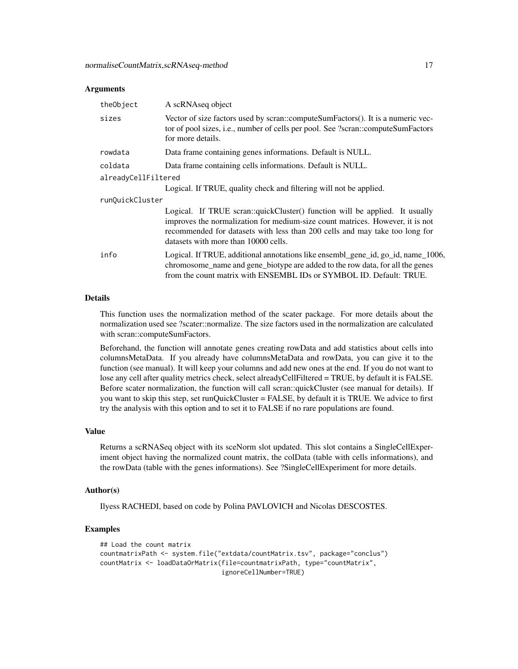#### Arguments

| theObject           | A scRNAseq object                                                                                                                                                                                                                                                                   |  |
|---------------------|-------------------------------------------------------------------------------------------------------------------------------------------------------------------------------------------------------------------------------------------------------------------------------------|--|
| sizes               | Vector of size factors used by scran::computeSumFactors(). It is a numeric vec-<br>tor of pool sizes, i.e., number of cells per pool. See ?scran::computeSumFactors<br>for more details.                                                                                            |  |
| rowdata             | Data frame containing genes informations. Default is NULL.                                                                                                                                                                                                                          |  |
| coldata             | Data frame containing cells informations. Default is NULL.                                                                                                                                                                                                                          |  |
| alreadyCellFiltered |                                                                                                                                                                                                                                                                                     |  |
|                     | Logical. If TRUE, quality check and filtering will not be applied.                                                                                                                                                                                                                  |  |
| runQuickCluster     |                                                                                                                                                                                                                                                                                     |  |
|                     | Logical. If TRUE scran::quickCluster() function will be applied. It usually<br>improves the normalization for medium-size count matrices. However, it is not<br>recommended for datasets with less than 200 cells and may take too long for<br>datasets with more than 10000 cells. |  |
| info                | Logical. If TRUE, additional annotations like ensembl_gene_id, go_id, name_1006,<br>chromosome_name and gene_biotype are added to the row data, for all the genes<br>from the count matrix with ENSEMBL IDs or SYMBOL ID. Default: TRUE.                                            |  |

#### Details

This function uses the normalization method of the scater package. For more details about the normalization used see ?scater::normalize. The size factors used in the normalization are calculated with scran::computeSumFactors.

Beforehand, the function will annotate genes creating rowData and add statistics about cells into columnsMetaData. If you already have columnsMetaData and rowData, you can give it to the function (see manual). It will keep your columns and add new ones at the end. If you do not want to lose any cell after quality metrics check, select alreadyCellFiltered = TRUE, by default it is FALSE. Before scater normalization, the function will call scran::quickCluster (see manual for details). If you want to skip this step, set runQuickCluster = FALSE, by default it is TRUE. We advice to first try the analysis with this option and to set it to FALSE if no rare populations are found.

# Value

Returns a scRNASeq object with its sceNorm slot updated. This slot contains a SingleCellExperiment object having the normalized count matrix, the colData (table with cells informations), and the rowData (table with the genes informations). See ?SingleCellExperiment for more details.

#### Author(s)

Ilyess RACHEDI, based on code by Polina PAVLOVICH and Nicolas DESCOSTES.

## Examples

```
## Load the count matrix
countmatrixPath <- system.file("extdata/countMatrix.tsv", package="conclus")
countMatrix <- loadDataOrMatrix(file=countmatrixPath, type="countMatrix",
                                ignoreCellNumber=TRUE)
```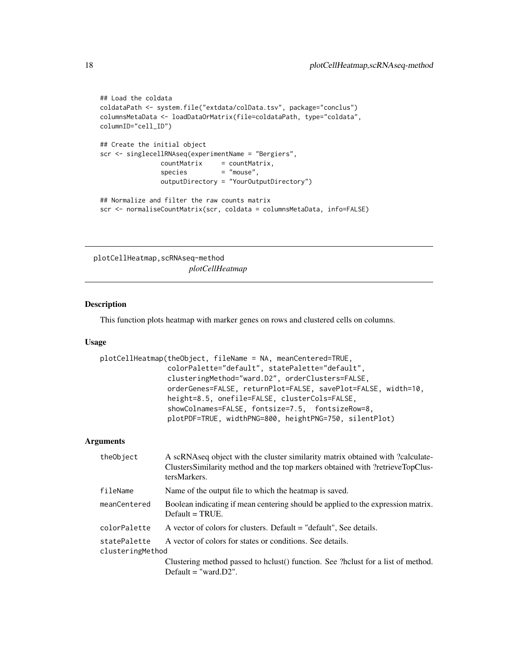```
## Load the coldata
coldataPath <- system.file("extdata/colData.tsv", package="conclus")
columnsMetaData <- loadDataOrMatrix(file=coldataPath, type="coldata",
columnID="cell_ID")
## Create the initial object
scr <- singlecellRNAseq(experimentName = "Bergiers",
               countMatrix = countMatrix,
               species = "mouse",
               outputDirectory = "YourOutputDirectory")
## Normalize and filter the raw counts matrix
scr <- normaliseCountMatrix(scr, coldata = columnsMetaData, info=FALSE)
```
plotCellHeatmap,scRNAseq-method *plotCellHeatmap*

# Description

This function plots heatmap with marker genes on rows and clustered cells on columns.

#### Usage

```
plotCellHeatmap(theObject, fileName = NA, meanCentered=TRUE,
                colorPalette="default", statePalette="default",
                clusteringMethod="ward.D2", orderClusters=FALSE,
                orderGenes=FALSE, returnPlot=FALSE, savePlot=FALSE, width=10,
                height=8.5, onefile=FALSE, clusterCols=FALSE,
                showColnames=FALSE, fontsize=7.5, fontsizeRow=8,
                plotPDF=TRUE, widthPNG=800, heightPNG=750, silentPlot)
```

| theObject                        | A scRNAseq object with the cluster similarity matrix obtained with ?calculate-<br>ClustersSimilarity method and the top markers obtained with ?retrieveTopClus-<br>tersMarkers. |
|----------------------------------|---------------------------------------------------------------------------------------------------------------------------------------------------------------------------------|
| fileName                         | Name of the output file to which the heatmap is saved.                                                                                                                          |
| meanCentered                     | Boolean indicating if mean centering should be applied to the expression matrix.<br>$Default = TRUE.$                                                                           |
| colorPalette                     | A vector of colors for clusters. Default = "default", See details.                                                                                                              |
| statePalette<br>clusteringMethod | A vector of colors for states or conditions. See details.                                                                                                                       |
|                                  | Clustering method passed to holust () function. See ?holust for a list of method.<br>Default $=$ "ward.D2".                                                                     |
|                                  |                                                                                                                                                                                 |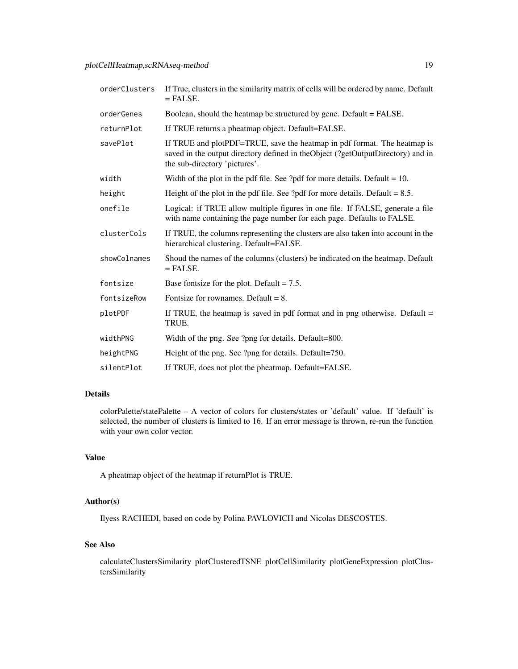| orderClusters | If True, clusters in the similarity matrix of cells will be ordered by name. Default<br>$=$ FALSE.                                                                                           |
|---------------|----------------------------------------------------------------------------------------------------------------------------------------------------------------------------------------------|
| orderGenes    | Boolean, should the heatmap be structured by gene. Default = FALSE.                                                                                                                          |
| returnPlot    | If TRUE returns a pheatmap object. Default=FALSE.                                                                                                                                            |
| savePlot      | If TRUE and plotPDF=TRUE, save the heatmap in pdf format. The heatmap is<br>saved in the output directory defined in theObject (?getOutputDirectory) and in<br>the sub-directory 'pictures'. |
| width         | Width of the plot in the pdf file. See ?pdf for more details. Default = $10$ .                                                                                                               |
| height        | Height of the plot in the pdf file. See ?pdf for more details. Default $= 8.5$ .                                                                                                             |
| onefile       | Logical: if TRUE allow multiple figures in one file. If FALSE, generate a file<br>with name containing the page number for each page. Defaults to FALSE.                                     |
| clusterCols   | If TRUE, the columns representing the clusters are also taken into account in the<br>hierarchical clustering. Default=FALSE.                                                                 |
| showColnames  | Shoud the names of the columns (clusters) be indicated on the heatmap. Default<br>$=$ FALSE.                                                                                                 |
| fontsize      | Base fontsize for the plot. Default $= 7.5$ .                                                                                                                                                |
| fontsizeRow   | Fontsize for rownames. Default $= 8$ .                                                                                                                                                       |
| plotPDF       | If TRUE, the heatmap is saved in pdf format and in png otherwise. Default $=$<br>TRUE.                                                                                                       |
| widthPNG      | Width of the png. See ?png for details. Default=800.                                                                                                                                         |
| heightPNG     | Height of the png. See ?png for details. Default=750.                                                                                                                                        |
| silentPlot    | If TRUE, does not plot the pheatmap. Default=FALSE.                                                                                                                                          |

# Details

colorPalette/statePalette – A vector of colors for clusters/states or 'default' value. If 'default' is selected, the number of clusters is limited to 16. If an error message is thrown, re-run the function with your own color vector.

# Value

A pheatmap object of the heatmap if returnPlot is TRUE.

# Author(s)

Ilyess RACHEDI, based on code by Polina PAVLOVICH and Nicolas DESCOSTES.

# See Also

calculateClustersSimilarity plotClusteredTSNE plotCellSimilarity plotGeneExpression plotClustersSimilarity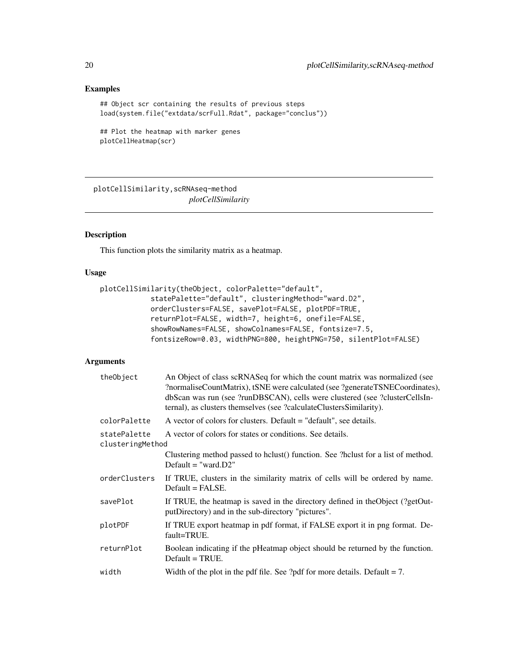# Examples

```
## Object scr containing the results of previous steps
load(system.file("extdata/scrFull.Rdat", package="conclus"))
```

```
## Plot the heatmap with marker genes
plotCellHeatmap(scr)
```
plotCellSimilarity,scRNAseq-method *plotCellSimilarity*

# Description

This function plots the similarity matrix as a heatmap.

## Usage

```
plotCellSimilarity(theObject, colorPalette="default",
            statePalette="default", clusteringMethod="ward.D2",
            orderClusters=FALSE, savePlot=FALSE, plotPDF=TRUE,
            returnPlot=FALSE, width=7, height=6, onefile=FALSE,
            showRowNames=FALSE, showColnames=FALSE, fontsize=7.5,
            fontsizeRow=0.03, widthPNG=800, heightPNG=750, silentPlot=FALSE)
```

| theObject                        | An Object of class scRNASeq for which the count matrix was normalized (see<br>?normaliseCountMatrix), tSNE were calculated (see ?generateTSNECoordinates),<br>dbScan was run (see ?runDBSCAN), cells were clustered (see ?clusterCellsIn-<br>ternal), as clusters themselves (see ?calculateClustersSimilarity). |
|----------------------------------|------------------------------------------------------------------------------------------------------------------------------------------------------------------------------------------------------------------------------------------------------------------------------------------------------------------|
| colorPalette                     | A vector of colors for clusters. Default = "default", see details.                                                                                                                                                                                                                                               |
| statePalette<br>clusteringMethod | A vector of colors for states or conditions. See details.                                                                                                                                                                                                                                                        |
|                                  | Clustering method passed to holust () function. See ?holust for a list of method.<br>Default = "ward. $D2$ "                                                                                                                                                                                                     |
| orderClusters                    | If TRUE, clusters in the similarity matrix of cells will be ordered by name.<br>$Default = FALSE.$                                                                                                                                                                                                               |
| savePlot                         | If TRUE, the heatmap is saved in the directory defined in the Object (?getOut-<br>putDirectory) and in the sub-directory "pictures".                                                                                                                                                                             |
| plotPDF                          | If TRUE export heatmap in pdf format, if FALSE export it in png format. De-<br>fault=TRUE.                                                                                                                                                                                                                       |
| returnPlot                       | Boolean indicating if the pHeatmap object should be returned by the function.<br>$Default = TRUE.$                                                                                                                                                                                                               |
| width                            | Width of the plot in the pdf file. See ?pdf for more details. Default $= 7$ .                                                                                                                                                                                                                                    |

<span id="page-19-0"></span>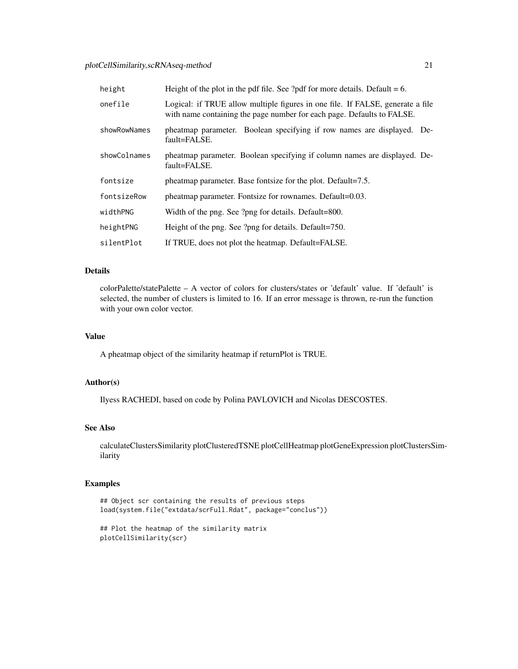# plotCellSimilarity,scRNAseq-method 21

| height       | Height of the plot in the pdf file. See ?pdf for more details. Default $= 6$ .                                                                           |
|--------------|----------------------------------------------------------------------------------------------------------------------------------------------------------|
| onefile      | Logical: if TRUE allow multiple figures in one file. If FALSE, generate a file<br>with name containing the page number for each page. Defaults to FALSE. |
| showRowNames | pheatmap parameter. Boolean specifying if row names are displayed. De-<br>fault=FALSE.                                                                   |
| showColnames | pheatmap parameter. Boolean specifying if column names are displayed. De-<br>fault=FALSE.                                                                |
| fontsize     | pheatmap parameter. Base fontsize for the plot. Default=7.5.                                                                                             |
| fontsizeRow  | pheatmap parameter. Fontsize for rownames. Default=0.03.                                                                                                 |
| widthPNG     | Width of the png. See ?png for details. Default=800.                                                                                                     |
| heightPNG    | Height of the png. See ?png for details. Default=750.                                                                                                    |
| silentPlot   | If TRUE, does not plot the heatmap. Default=FALSE.                                                                                                       |

# Details

colorPalette/statePalette – A vector of colors for clusters/states or 'default' value. If 'default' is selected, the number of clusters is limited to 16. If an error message is thrown, re-run the function with your own color vector.

# Value

A pheatmap object of the similarity heatmap if returnPlot is TRUE.

# Author(s)

Ilyess RACHEDI, based on code by Polina PAVLOVICH and Nicolas DESCOSTES.

# See Also

calculateClustersSimilarity plotClusteredTSNE plotCellHeatmap plotGeneExpression plotClustersSimilarity

# Examples

```
## Object scr containing the results of previous steps
load(system.file("extdata/scrFull.Rdat", package="conclus"))
```

```
## Plot the heatmap of the similarity matrix
plotCellSimilarity(scr)
```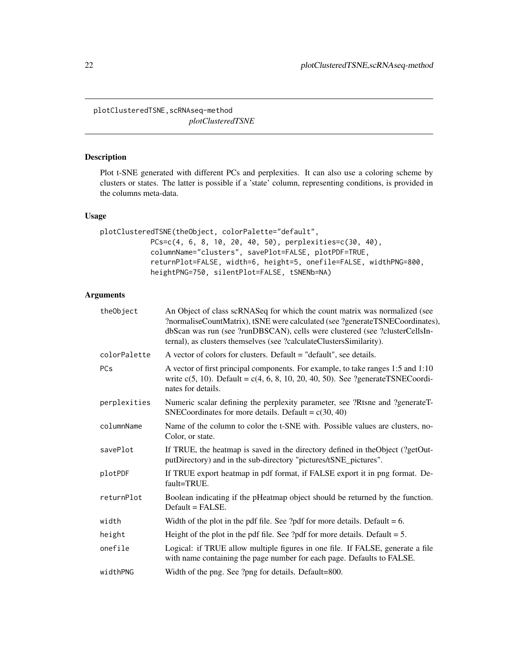<span id="page-21-0"></span>plotClusteredTSNE,scRNAseq-method *plotClusteredTSNE*

# Description

Plot t-SNE generated with different PCs and perplexities. It can also use a coloring scheme by clusters or states. The latter is possible if a 'state' column, representing conditions, is provided in the columns meta-data.

#### Usage

```
plotClusteredTSNE(theObject, colorPalette="default",
            PCs=c(4, 6, 8, 10, 20, 40, 50), perplexities=c(30, 40),
            columnName="clusters", savePlot=FALSE, plotPDF=TRUE,
            returnPlot=FALSE, width=6, height=5, onefile=FALSE, widthPNG=800,
            heightPNG=750, silentPlot=FALSE, tSNENb=NA)
```

| theObject    | An Object of class scRNASeq for which the count matrix was normalized (see<br>?normaliseCountMatrix), tSNE were calculated (see ?generateTSNECoordinates),<br>dbScan was run (see ?runDBSCAN), cells were clustered (see ?clusterCellsIn-<br>ternal), as clusters themselves (see ?calculateClustersSimilarity). |
|--------------|------------------------------------------------------------------------------------------------------------------------------------------------------------------------------------------------------------------------------------------------------------------------------------------------------------------|
| colorPalette | A vector of colors for clusters. Default = "default", see details.                                                                                                                                                                                                                                               |
| PCs          | A vector of first principal components. For example, to take ranges 1:5 and 1:10<br>write $c(5, 10)$ . Default = $c(4, 6, 8, 10, 20, 40, 50)$ . See ?generateTSNECoordi-<br>nates for details.                                                                                                                   |
| perplexities | Numeric scalar defining the perplexity parameter, see ?Rtsne and ?generateT-<br>SNECoordinates for more details. Default = $c(30, 40)$                                                                                                                                                                           |
| columnName   | Name of the column to color the t-SNE with. Possible values are clusters, no-<br>Color, or state.                                                                                                                                                                                                                |
| savePlot     | If TRUE, the heatmap is saved in the directory defined in the Object (?getOut-<br>putDirectory) and in the sub-directory "pictures/tSNE_pictures".                                                                                                                                                               |
| plotPDF      | If TRUE export heatmap in pdf format, if FALSE export it in png format. De-<br>fault=TRUE.                                                                                                                                                                                                                       |
| returnPlot   | Boolean indicating if the pHeatmap object should be returned by the function.<br>$Default = FALSE.$                                                                                                                                                                                                              |
| width        | Width of the plot in the pdf file. See ?pdf for more details. Default $= 6$ .                                                                                                                                                                                                                                    |
| height       | Height of the plot in the pdf file. See ?pdf for more details. Default $= 5$ .                                                                                                                                                                                                                                   |
| onefile      | Logical: if TRUE allow multiple figures in one file. If FALSE, generate a file<br>with name containing the page number for each page. Defaults to FALSE.                                                                                                                                                         |
| widthPNG     | Width of the png. See ?png for details. Default=800.                                                                                                                                                                                                                                                             |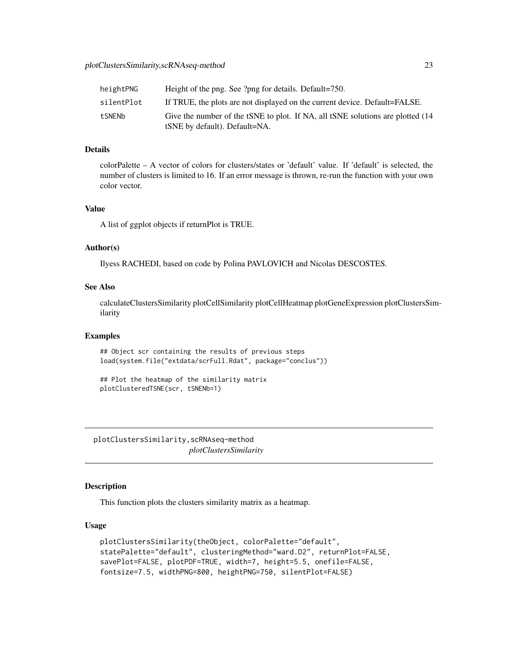<span id="page-22-0"></span>

| heightPNG  | Height of the png. See ?png for details. Default=750.                                                            |
|------------|------------------------------------------------------------------------------------------------------------------|
| silentPlot | If TRUE, the plots are not displayed on the current device. Default=FALSE.                                       |
| tSNENb     | Give the number of the tSNE to plot. If NA, all tSNE solutions are plotted (14)<br>tSNE by default). Default=NA. |

# Details

colorPalette – A vector of colors for clusters/states or 'default' value. If 'default' is selected, the number of clusters is limited to 16. If an error message is thrown, re-run the function with your own color vector.

# Value

A list of ggplot objects if returnPlot is TRUE.

# Author(s)

Ilyess RACHEDI, based on code by Polina PAVLOVICH and Nicolas DESCOSTES.

#### See Also

calculateClustersSimilarity plotCellSimilarity plotCellHeatmap plotGeneExpression plotClustersSimilarity

#### Examples

## Object scr containing the results of previous steps load(system.file("extdata/scrFull.Rdat", package="conclus"))

## Plot the heatmap of the similarity matrix plotClusteredTSNE(scr, tSNENb=1)

plotClustersSimilarity,scRNAseq-method *plotClustersSimilarity*

# Description

This function plots the clusters similarity matrix as a heatmap.

#### Usage

```
plotClustersSimilarity(theObject, colorPalette="default",
statePalette="default", clusteringMethod="ward.D2", returnPlot=FALSE,
savePlot=FALSE, plotPDF=TRUE, width=7, height=5.5, onefile=FALSE,
fontsize=7.5, widthPNG=800, heightPNG=750, silentPlot=FALSE)
```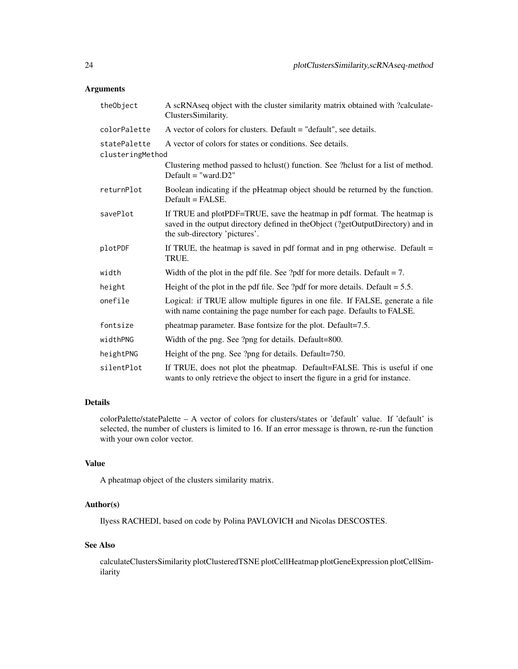# Arguments

| theObject        | A scRNAseq object with the cluster similarity matrix obtained with ?calculate-<br>ClustersSimilarity.                                                                                        |
|------------------|----------------------------------------------------------------------------------------------------------------------------------------------------------------------------------------------|
| colorPalette     | A vector of colors for clusters. Default = "default", see details.                                                                                                                           |
| statePalette     | A vector of colors for states or conditions. See details.                                                                                                                                    |
| clusteringMethod |                                                                                                                                                                                              |
|                  | Clustering method passed to holust () function. See ?holust for a list of method.<br>$Default = "ward.D2"$                                                                                   |
| returnPlot       | Boolean indicating if the pHeatmap object should be returned by the function.<br>$Default = FALSE.$                                                                                          |
| savePlot         | If TRUE and plotPDF=TRUE, save the heatmap in pdf format. The heatmap is<br>saved in the output directory defined in theObject (?getOutputDirectory) and in<br>the sub-directory 'pictures'. |
| plotPDF          | If TRUE, the heatmap is saved in pdf format and in png otherwise. Default $=$<br>TRUE.                                                                                                       |
| width            | Width of the plot in the pdf file. See ?pdf for more details. Default $= 7$ .                                                                                                                |
| height           | Height of the plot in the pdf file. See ?pdf for more details. Default $= 5.5$ .                                                                                                             |
| onefile          | Logical: if TRUE allow multiple figures in one file. If FALSE, generate a file<br>with name containing the page number for each page. Defaults to FALSE.                                     |
| fontsize         | pheatmap parameter. Base fontsize for the plot. Default=7.5.                                                                                                                                 |
| widthPNG         | Width of the png. See ?png for details. Default=800.                                                                                                                                         |
| heightPNG        | Height of the png. See ?png for details. Default=750.                                                                                                                                        |
| silentPlot       | If TRUE, does not plot the pheatmap. Default=FALSE. This is useful if one<br>wants to only retrieve the object to insert the figure in a grid for instance.                                  |

# Details

colorPalette/statePalette – A vector of colors for clusters/states or 'default' value. If 'default' is selected, the number of clusters is limited to 16. If an error message is thrown, re-run the function with your own color vector.

# Value

A pheatmap object of the clusters similarity matrix.

# Author(s)

Ilyess RACHEDI, based on code by Polina PAVLOVICH and Nicolas DESCOSTES.

# See Also

calculateClustersSimilarity plotClusteredTSNE plotCellHeatmap plotGeneExpression plotCellSimilarity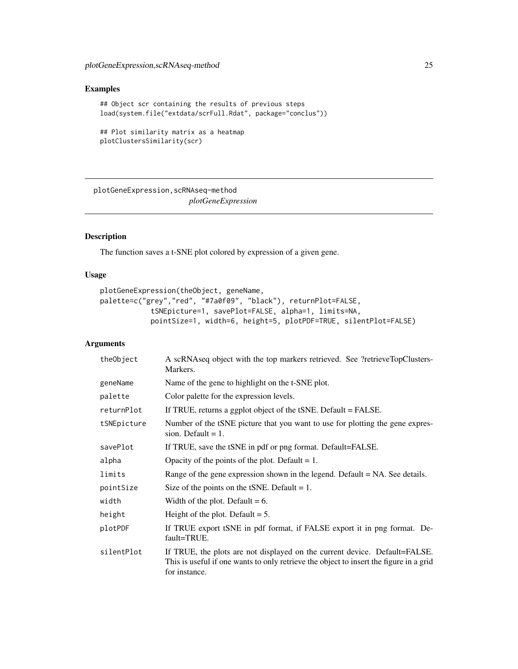# <span id="page-24-0"></span>Examples

```
## Object scr containing the results of previous steps
load(system.file("extdata/scrFull.Rdat", package="conclus"))
```

```
## Plot similarity matrix as a heatmap
plotClustersSimilarity(scr)
```
plotGeneExpression,scRNAseq-method *plotGeneExpression*

# Description

The function saves a t-SNE plot colored by expression of a given gene.

# Usage

```
plotGeneExpression(theObject, geneName,
palette=c("grey","red", "#7a0f09", "black"), returnPlot=FALSE,
            tSNEpicture=1, savePlot=FALSE, alpha=1, limits=NA,
            pointSize=1, width=6, height=5, plotPDF=TRUE, silentPlot=FALSE)
```

| theObject   | A scRNAseq object with the top markers retrieved. See ?retrieveTopClusters-<br>Markers.                                                                                               |
|-------------|---------------------------------------------------------------------------------------------------------------------------------------------------------------------------------------|
| geneName    | Name of the gene to highlight on the t-SNE plot.                                                                                                                                      |
| palette     | Color palette for the expression levels.                                                                                                                                              |
| returnPlot  | If TRUE, returns a ggplot object of the tSNE. Default = FALSE.                                                                                                                        |
| tSNEpicture | Number of the tSNE picture that you want to use for plotting the gene expres-<br>sion. Default $= 1$ .                                                                                |
| savePlot    | If TRUE, save the tSNE in pdf or png format. Default=FALSE.                                                                                                                           |
| alpha       | Opacity of the points of the plot. Default $= 1$ .                                                                                                                                    |
| limits      | Range of the gene expression shown in the legend. Default = NA. See details.                                                                                                          |
| pointSize   | Size of the points on the tSNE. Default $= 1$ .                                                                                                                                       |
| width       | Width of the plot. Default $= 6$ .                                                                                                                                                    |
| height      | Height of the plot. Default $= 5$ .                                                                                                                                                   |
| plotPDF     | If TRUE export tSNE in pdf format, if FALSE export it in png format. De-<br>fault=TRUE.                                                                                               |
| silentPlot  | If TRUE, the plots are not displayed on the current device. Default=FALSE.<br>This is useful if one wants to only retrieve the object to insert the figure in a grid<br>for instance. |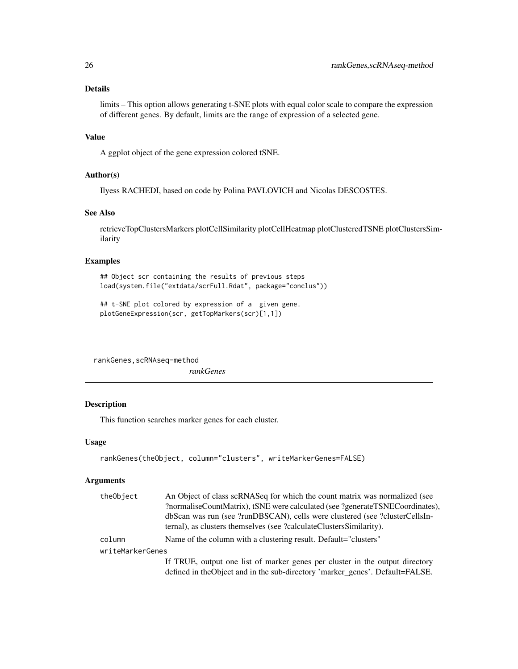# <span id="page-25-0"></span>Details

limits – This option allows generating t-SNE plots with equal color scale to compare the expression of different genes. By default, limits are the range of expression of a selected gene.

# Value

A ggplot object of the gene expression colored tSNE.

#### Author(s)

Ilyess RACHEDI, based on code by Polina PAVLOVICH and Nicolas DESCOSTES.

# See Also

retrieveTopClustersMarkers plotCellSimilarity plotCellHeatmap plotClusteredTSNE plotClustersSimilarity

# Examples

## Object scr containing the results of previous steps load(system.file("extdata/scrFull.Rdat", package="conclus"))

```
## t-SNE plot colored by expression of a given gene.
plotGeneExpression(scr, getTopMarkers(scr)[1,1])
```
rankGenes,scRNAseq-method

*rankGenes*

# Description

This function searches marker genes for each cluster.

#### Usage

```
rankGenes(theObject, column="clusters", writeMarkerGenes=FALSE)
```

| theObject        | An Object of class scRNASeq for which the count matrix was normalized (see    |  |
|------------------|-------------------------------------------------------------------------------|--|
|                  | ?normaliseCountMatrix), tSNE were calculated (see ?generateTSNECoordinates),  |  |
|                  | dbScan was run (see ?runDBSCAN), cells were clustered (see ?clusterCellsIn-   |  |
|                  | ternal), as clusters themselves (see ?calculateClustersSimilarity).           |  |
| column           | Name of the column with a clustering result. Default="clusters"               |  |
| writeMarkerGenes |                                                                               |  |
|                  | If TRUE, output one list of marker genes per cluster in the output directory  |  |
|                  | defined in the Object and in the sub-directory 'marker_genes'. Default=FALSE. |  |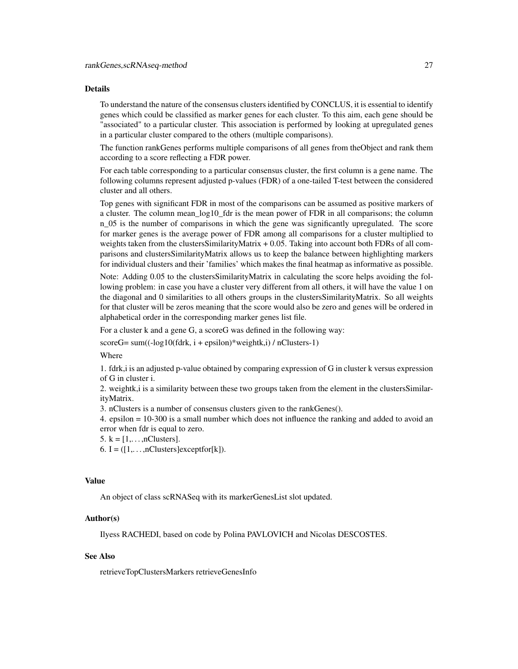#### Details

To understand the nature of the consensus clusters identified by CONCLUS, it is essential to identify genes which could be classified as marker genes for each cluster. To this aim, each gene should be "associated" to a particular cluster. This association is performed by looking at upregulated genes in a particular cluster compared to the others (multiple comparisons).

The function rankGenes performs multiple comparisons of all genes from theObject and rank them according to a score reflecting a FDR power.

For each table corresponding to a particular consensus cluster, the first column is a gene name. The following columns represent adjusted p-values (FDR) of a one-tailed T-test between the considered cluster and all others.

Top genes with significant FDR in most of the comparisons can be assumed as positive markers of a cluster. The column mean\_log10\_fdr is the mean power of FDR in all comparisons; the column n\_05 is the number of comparisons in which the gene was significantly upregulated. The score for marker genes is the average power of FDR among all comparisons for a cluster multiplied to weights taken from the clustersSimilarityMatrix + 0.05. Taking into account both FDRs of all comparisons and clustersSimilarityMatrix allows us to keep the balance between highlighting markers for individual clusters and their 'families' which makes the final heatmap as informative as possible.

Note: Adding 0.05 to the clustersSimilarityMatrix in calculating the score helps avoiding the following problem: in case you have a cluster very different from all others, it will have the value 1 on the diagonal and 0 similarities to all others groups in the clustersSimilarityMatrix. So all weights for that cluster will be zeros meaning that the score would also be zero and genes will be ordered in alphabetical order in the corresponding marker genes list file.

For a cluster k and a gene G, a scoreG was defined in the following way:

 $scoreG = sum((-log10(fdrk, i + epsilon)*weight(k, i) / nClusters-1))$ 

Where

1. fdrk,i is an adjusted p-value obtained by comparing expression of G in cluster k versus expression of G in cluster i.

2. weightk,i is a similarity between these two groups taken from the element in the clustersSimilarityMatrix.

3. nClusters is a number of consensus clusters given to the rankGenes().

4. epsilon = 10-300 is a small number which does not influence the ranking and added to avoid an error when fdr is equal to zero.

 $5. k = [1, \ldots, nClusters].$ 

6. I =  $([1, \ldots, n\text{Clusters}]$ exceptfor[k]).

#### Value

An object of class scRNASeq with its markerGenesList slot updated.

#### Author(s)

Ilyess RACHEDI, based on code by Polina PAVLOVICH and Nicolas DESCOSTES.

# See Also

retrieveTopClustersMarkers retrieveGenesInfo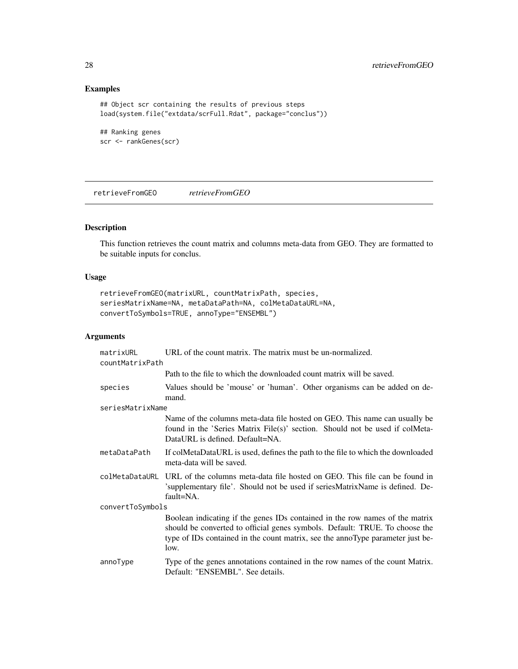# Examples

```
## Object scr containing the results of previous steps
load(system.file("extdata/scrFull.Rdat", package="conclus"))
## Ranking genes
```

```
scr <- rankGenes(scr)
```
retrieveFromGEO *retrieveFromGEO*

# Description

This function retrieves the count matrix and columns meta-data from GEO. They are formatted to be suitable inputs for conclus.

# Usage

```
retrieveFromGEO(matrixURL, countMatrixPath, species,
seriesMatrixName=NA, metaDataPath=NA, colMetaDataURL=NA,
convertToSymbols=TRUE, annoType="ENSEMBL")
```

| matrixURL<br>countMatrixPath | URL of the count matrix. The matrix must be un-normalized.                                                                                                                                                                                            |  |
|------------------------------|-------------------------------------------------------------------------------------------------------------------------------------------------------------------------------------------------------------------------------------------------------|--|
|                              | Path to the file to which the downloaded count matrix will be saved.                                                                                                                                                                                  |  |
| species                      | Values should be 'mouse' or 'human'. Other organisms can be added on de-<br>mand.                                                                                                                                                                     |  |
| seriesMatrixName             |                                                                                                                                                                                                                                                       |  |
|                              | Name of the columns meta-data file hosted on GEO. This name can usually be<br>found in the 'Series Matrix File(s)' section. Should not be used if colMeta-<br>DataURL is defined. Default=NA.                                                         |  |
| metaDataPath                 | If colMetaDataURL is used, defines the path to the file to which the downloaded<br>meta-data will be saved.                                                                                                                                           |  |
|                              | colMetaDataURL URL of the columns meta-data file hosted on GEO. This file can be found in<br>'supplementary file'. Should not be used if seriesMatrixName is defined. De-<br>fault=NA.                                                                |  |
| convertToSymbols             |                                                                                                                                                                                                                                                       |  |
|                              | Boolean indicating if the genes IDs contained in the row names of the matrix<br>should be converted to official genes symbols. Default: TRUE. To choose the<br>type of IDs contained in the count matrix, see the annoType parameter just be-<br>low. |  |
| annoType                     | Type of the genes annotations contained in the row names of the count Matrix.<br>Default: "ENSEMBL". See details.                                                                                                                                     |  |

<span id="page-27-0"></span>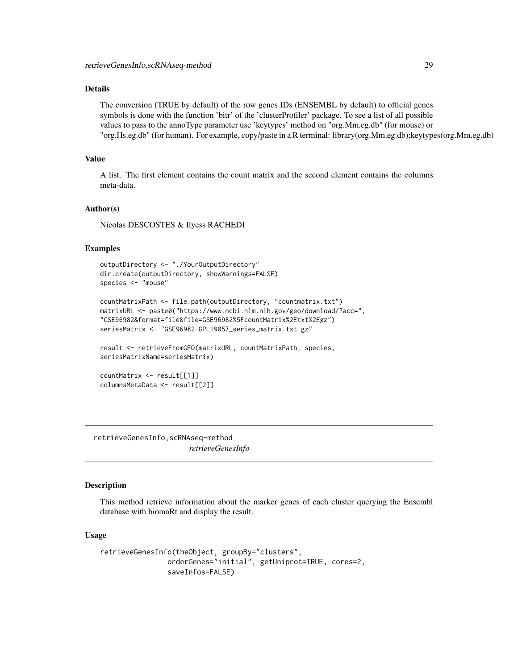# <span id="page-28-0"></span>Details

The conversion (TRUE by default) of the row genes IDs (ENSEMBL by default) to official genes symbols is done with the function 'bitr' of the 'clusterProfiler' package. To see a list of all possible values to pass to the annoType parameter use 'keytypes' method on "org.Mm.eg.db" (for mouse) or "org.Hs.eg.db" (for human). For example, copy/paste in a R terminal: library(org.Mm.eg.db);keytypes(org.Mm.eg.db)

# Value

A list. The first element contains the count matrix and the second element contains the columns meta-data.

#### Author(s)

Nicolas DESCOSTES & Ilyess RACHEDI

#### Examples

```
outputDirectory <- "./YourOutputDirectory"
dir.create(outputDirectory, showWarnings=FALSE)
species <- "mouse"
countMatrixPath <- file.path(outputDirectory, "countmatrix.txt")
matrixURL <- paste0("https://www.ncbi.nlm.nih.gov/geo/download/?acc=",
"GSE96982&format=file&file=GSE96982%5FcountMatrix%2Etxt%2Egz")
seriesMatrix <- "GSE96982-GPL19057_series_matrix.txt.gz"
result <- retrieveFromGEO(matrixURL, countMatrixPath, species,
seriesMatrixName=seriesMatrix)
countMatrix <- result[[1]]
columnsMetaData <- result[[2]]
```
retrieveGenesInfo,scRNAseq-method *retrieveGenesInfo*

#### Description

This method retrieve information about the marker genes of each cluster querying the Ensembl database with biomaRt and display the result.

#### Usage

```
retrieveGenesInfo(theObject, groupBy="clusters",
                orderGenes="initial", getUniprot=TRUE, cores=2,
                saveInfos=FALSE)
```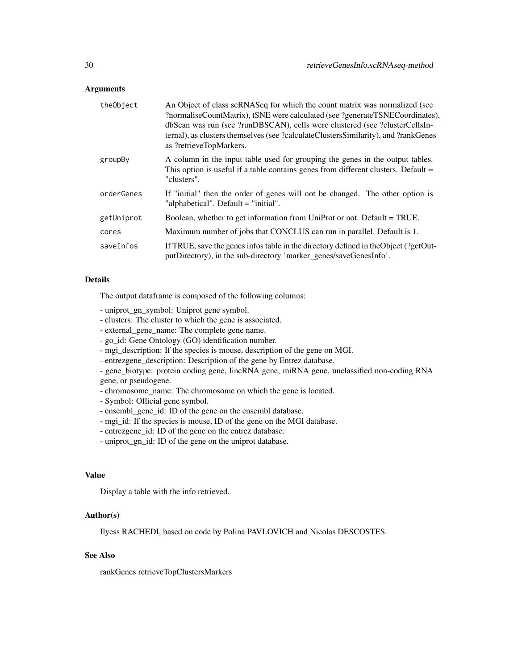#### Arguments

| theObject  | An Object of class scRNASeq for which the count matrix was normalized (see<br>?normaliseCountMatrix), tSNE were calculated (see ?generateTSNECoordinates),<br>dbScan was run (see ?runDBSCAN), cells were clustered (see ?clusterCellsIn-<br>ternal), as clusters themselves (see ?calculateClustersSimilarity), and ?rankGenes<br>as ?retrieveTopMarkers. |
|------------|------------------------------------------------------------------------------------------------------------------------------------------------------------------------------------------------------------------------------------------------------------------------------------------------------------------------------------------------------------|
| groupBy    | A column in the input table used for grouping the genes in the output tables.<br>This option is useful if a table contains genes from different clusters. Default =<br>"clusters".                                                                                                                                                                         |
| orderGenes | If "initial" then the order of genes will not be changed. The other option is<br>"alphabetical". Default = "initial".                                                                                                                                                                                                                                      |
| getUniprot | Boolean, whether to get information from UniProt or not. Default = TRUE.                                                                                                                                                                                                                                                                                   |
| cores      | Maximum number of jobs that CONCLUS can run in parallel. Default is 1.                                                                                                                                                                                                                                                                                     |
| saveInfos  | If TRUE, save the genes infos table in the directory defined in the Object (?getOut-<br>putDirectory), in the sub-directory 'marker_genes/saveGenesInfo'.                                                                                                                                                                                                  |

# Details

The output dataframe is composed of the following columns:

- uniprot\_gn\_symbol: Uniprot gene symbol.
- clusters: The cluster to which the gene is associated.
- external\_gene\_name: The complete gene name.
- go\_id: Gene Ontology (GO) identification number.
- mgi\_description: If the species is mouse, description of the gene on MGI.
- entrezgene\_description: Description of the gene by Entrez database.

- gene\_biotype: protein coding gene, lincRNA gene, miRNA gene, unclassified non-coding RNA gene, or pseudogene.

- chromosome\_name: The chromosome on which the gene is located.
- Symbol: Official gene symbol.
- ensembl\_gene\_id: ID of the gene on the ensembl database.
- mgi\_id: If the species is mouse, ID of the gene on the MGI database.
- entrezgene\_id: ID of the gene on the entrez database.
- uniprot\_gn\_id: ID of the gene on the uniprot database.

# Value

Display a table with the info retrieved.

# Author(s)

Ilyess RACHEDI, based on code by Polina PAVLOVICH and Nicolas DESCOSTES.

# See Also

rankGenes retrieveTopClustersMarkers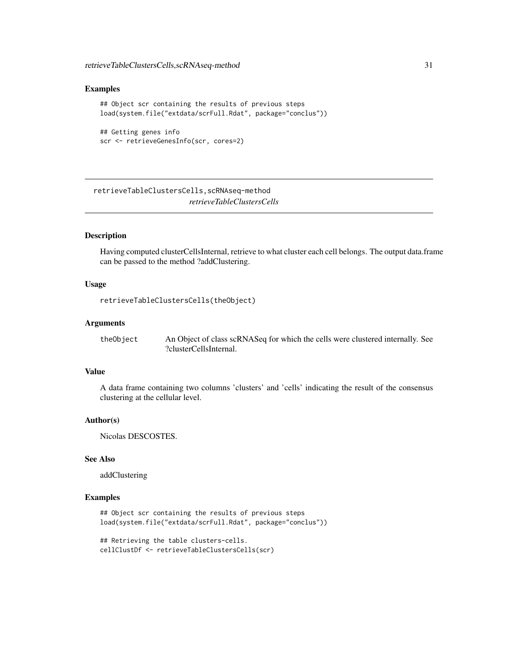#### <span id="page-30-0"></span>Examples

```
## Object scr containing the results of previous steps
load(system.file("extdata/scrFull.Rdat", package="conclus"))
## Getting genes info
```

```
scr <- retrieveGenesInfo(scr, cores=2)
```
retrieveTableClustersCells,scRNAseq-method *retrieveTableClustersCells*

# Description

Having computed clusterCellsInternal, retrieve to what cluster each cell belongs. The output data.frame can be passed to the method ?addClustering.

# Usage

```
retrieveTableClustersCells(theObject)
```
#### Arguments

| theObject | An Object of class scRNASeq for which the cells were clustered internally. See |
|-----------|--------------------------------------------------------------------------------|
|           | ?clusterCellsInternal.                                                         |

# Value

A data frame containing two columns 'clusters' and 'cells' indicating the result of the consensus clustering at the cellular level.

#### Author(s)

Nicolas DESCOSTES.

# See Also

addClustering

# Examples

```
## Object scr containing the results of previous steps
load(system.file("extdata/scrFull.Rdat", package="conclus"))
```

```
## Retrieving the table clusters-cells.
cellClustDf <- retrieveTableClustersCells(scr)
```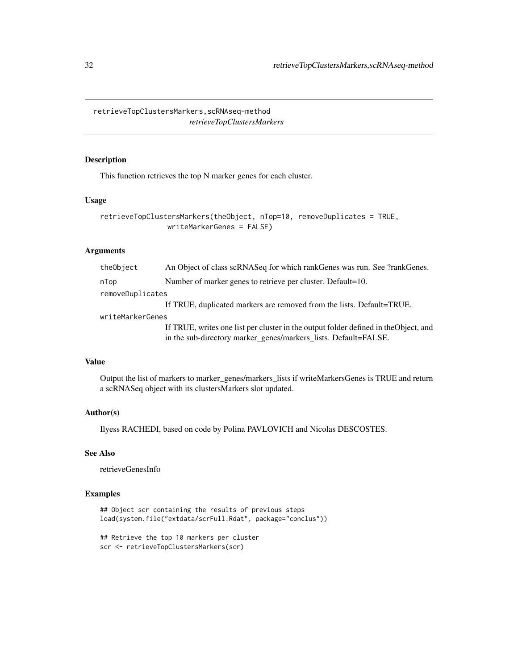<span id="page-31-0"></span>retrieveTopClustersMarkers,scRNAseq-method *retrieveTopClustersMarkers*

# Description

This function retrieves the top N marker genes for each cluster.

# Usage

```
retrieveTopClustersMarkers(theObject, nTop=10, removeDuplicates = TRUE,
                writeMarkerGenes = FALSE)
```
# Arguments

| theObject        | An Object of class scRNASeq for which rankGenes was run. See ?rankGenes.                                                                                |
|------------------|---------------------------------------------------------------------------------------------------------------------------------------------------------|
| nTop             | Number of marker genes to retrieve per cluster. Default=10.                                                                                             |
| removeDuplicates |                                                                                                                                                         |
|                  | If TRUE, duplicated markers are removed from the lists. Default=TRUE.                                                                                   |
| writeMarkerGenes |                                                                                                                                                         |
|                  | If TRUE, writes one list per cluster in the output folder defined in the Object, and<br>in the sub-directory marker_genes/markers_lists. Default=FALSE. |

# Value

Output the list of markers to marker\_genes/markers\_lists if writeMarkersGenes is TRUE and return a scRNASeq object with its clustersMarkers slot updated.

# Author(s)

Ilyess RACHEDI, based on code by Polina PAVLOVICH and Nicolas DESCOSTES.

# See Also

retrieveGenesInfo

# Examples

```
## Object scr containing the results of previous steps
load(system.file("extdata/scrFull.Rdat", package="conclus"))
```

```
## Retrieve the top 10 markers per cluster
scr <- retrieveTopClustersMarkers(scr)
```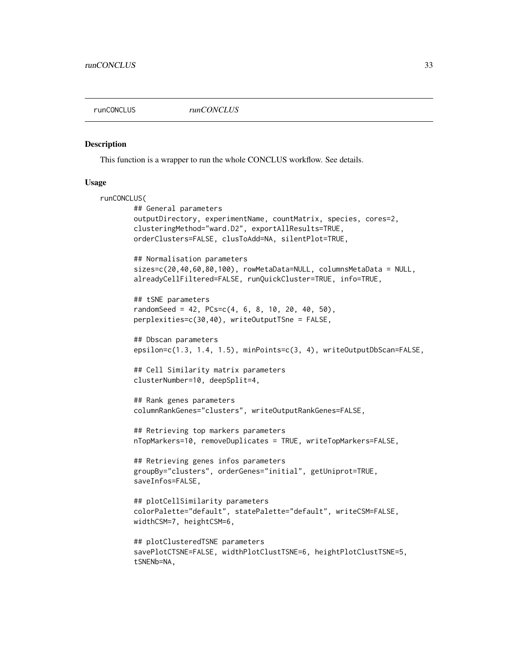<span id="page-32-0"></span>

#### Description

This function is a wrapper to run the whole CONCLUS workflow. See details.

#### Usage

```
runCONCLUS(
       ## General parameters
       outputDirectory, experimentName, countMatrix, species, cores=2,
       clusteringMethod="ward.D2", exportAllResults=TRUE,
       orderClusters=FALSE, clusToAdd=NA, silentPlot=TRUE,
       ## Normalisation parameters
       sizes=c(20,40,60,80,100), rowMetaData=NULL, columnsMetaData = NULL,
       alreadyCellFiltered=FALSE, runQuickCluster=TRUE, info=TRUE,
       ## tSNE parameters
       randomSeed = 42, PCs=c(4, 6, 8, 10, 20, 40, 50),
       perplexities=c(30,40), writeOutputTSne = FALSE,
       ## Dbscan parameters
       epsilon=c(1.3, 1.4, 1.5), minPoints=c(3, 4), writeOutputDbScan=FALSE,
       ## Cell Similarity matrix parameters
       clusterNumber=10, deepSplit=4,
       ## Rank genes parameters
       columnRankGenes="clusters", writeOutputRankGenes=FALSE,
       ## Retrieving top markers parameters
       nTopMarkers=10, removeDuplicates = TRUE, writeTopMarkers=FALSE,
       ## Retrieving genes infos parameters
       groupBy="clusters", orderGenes="initial", getUniprot=TRUE,
       saveInfos=FALSE,
       ## plotCellSimilarity parameters
       colorPalette="default", statePalette="default", writeCSM=FALSE,
       widthCSM=7, heightCSM=6,
       ## plotClusteredTSNE parameters
       savePlotCTSNE=FALSE, widthPlotClustTSNE=6, heightPlotClustTSNE=5,
       tSNENb=NA,
```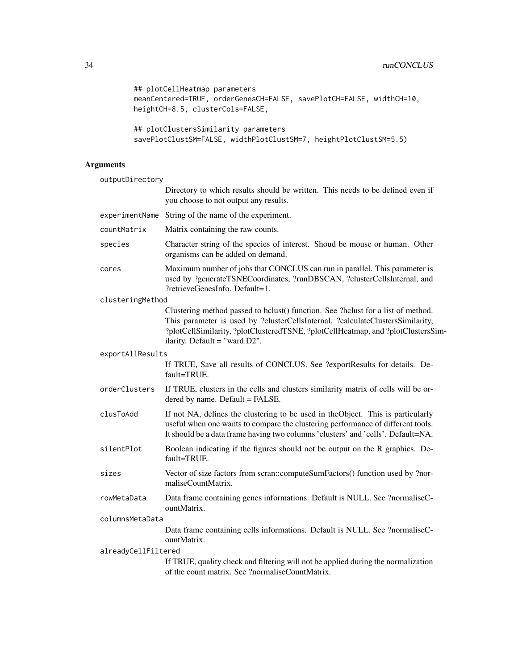```
## plotCellHeatmap parameters
meanCentered=TRUE, orderGenesCH=FALSE, savePlotCH=FALSE, widthCH=10,
heightCH=8.5, clusterCols=FALSE,
```

```
## plotClustersSimilarity parameters
savePlotClustSM=FALSE, widthPlotClustSM=7, heightPlotClustSM=5.5)
```

| outputDirectory     |                                                                                                                                                                                                                                                                                             |  |
|---------------------|---------------------------------------------------------------------------------------------------------------------------------------------------------------------------------------------------------------------------------------------------------------------------------------------|--|
|                     | Directory to which results should be written. This needs to be defined even if<br>you choose to not output any results.                                                                                                                                                                     |  |
| experimentName      | String of the name of the experiment.                                                                                                                                                                                                                                                       |  |
| countMatrix         | Matrix containing the raw counts.                                                                                                                                                                                                                                                           |  |
| species             | Character string of the species of interest. Shoud be mouse or human. Other<br>organisms can be added on demand.                                                                                                                                                                            |  |
| cores               | Maximum number of jobs that CONCLUS can run in parallel. This parameter is<br>used by ?generateTSNECoordinates, ?runDBSCAN, ?clusterCellsInternal, and<br>?retrieveGenesInfo. Default=1.                                                                                                    |  |
| clusteringMethod    |                                                                                                                                                                                                                                                                                             |  |
|                     | Clustering method passed to hclust() function. See ?hclust for a list of method.<br>This parameter is used by ?clusterCellsInternal, ?calculateClustersSimilarity,<br>?plotCellSimilarity, ?plotClusteredTSNE, ?plotCellHeatmap, and ?plotClustersSim-<br>ilarity. Default = "ward. $D2$ ". |  |
| exportAllResults    |                                                                                                                                                                                                                                                                                             |  |
|                     | If TRUE, Save all results of CONCLUS. See ?exportResults for details. De-<br>fault=TRUE.                                                                                                                                                                                                    |  |
| orderClusters       | If TRUE, clusters in the cells and clusters similarity matrix of cells will be or-<br>dered by name. Default = FALSE.                                                                                                                                                                       |  |
| clusToAdd           | If not NA, defines the clustering to be used in the Object. This is particularly<br>useful when one wants to compare the clustering performance of different tools.<br>It should be a data frame having two columns 'clusters' and 'cells'. Default=NA.                                     |  |
| silentPlot          | Boolean indicating if the figures should not be output on the R graphics. De-<br>fault=TRUE.                                                                                                                                                                                                |  |
| sizes               | Vector of size factors from scran::computeSumFactors() function used by ?nor-<br>maliseCountMatrix.                                                                                                                                                                                         |  |
| rowMetaData         | Data frame containing genes informations. Default is NULL. See ?normaliseC-<br>ountMatrix.                                                                                                                                                                                                  |  |
| columnsMetaData     |                                                                                                                                                                                                                                                                                             |  |
|                     | Data frame containing cells informations. Default is NULL. See ?normaliseC-<br>ountMatrix.                                                                                                                                                                                                  |  |
| alreadyCellFiltered |                                                                                                                                                                                                                                                                                             |  |
|                     | If TRUE, quality check and filtering will not be applied during the normalization<br>of the count matrix. See ?normaliseCountMatrix.                                                                                                                                                        |  |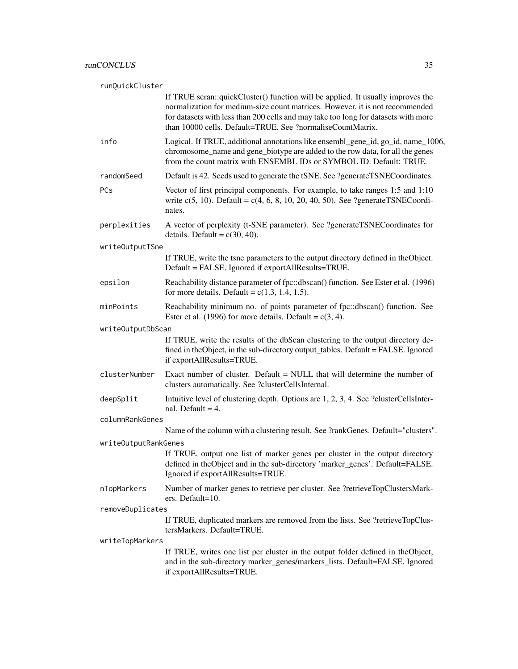|                 | runQuickCluster      |                                                                                                                                                                                                                                                                                                                     |  |
|-----------------|----------------------|---------------------------------------------------------------------------------------------------------------------------------------------------------------------------------------------------------------------------------------------------------------------------------------------------------------------|--|
|                 |                      | If TRUE scran::quickCluster() function will be applied. It usually improves the<br>normalization for medium-size count matrices. However, it is not recommended<br>for datasets with less than 200 cells and may take too long for datasets with more<br>than 10000 cells. Default=TRUE. See ?normaliseCountMatrix. |  |
|                 | info                 | Logical. If TRUE, additional annotations like ensembl_gene_id, go_id, name_1006,<br>chromosome_name and gene_biotype are added to the row data, for all the genes<br>from the count matrix with ENSEMBL IDs or SYMBOL ID. Default: TRUE.                                                                            |  |
|                 | randomSeed           | Default is 42. Seeds used to generate the tSNE. See ?generateTSNECoordinates.                                                                                                                                                                                                                                       |  |
|                 | <b>PCs</b>           | Vector of first principal components. For example, to take ranges 1:5 and 1:10<br>write $c(5, 10)$ . Default = $c(4, 6, 8, 10, 20, 40, 50)$ . See ?generateTSNECoordi-<br>nates.                                                                                                                                    |  |
|                 | perplexities         | A vector of perplexity (t-SNE parameter). See ?generateTSNECoordinates for<br>details. Default = $c(30, 40)$ .                                                                                                                                                                                                      |  |
|                 | writeOutputTSne      |                                                                                                                                                                                                                                                                                                                     |  |
|                 |                      | If TRUE, write the tsne parameters to the output directory defined in theObject.<br>Default = FALSE. Ignored if exportAllResults=TRUE.                                                                                                                                                                              |  |
|                 | epsilon              | Reachability distance parameter of fpc::dbscan() function. See Ester et al. (1996)<br>for more details. Default = $c(1.3, 1.4, 1.5)$ .                                                                                                                                                                              |  |
|                 | minPoints            | Reachability minimum no. of points parameter of fpc::dbscan() function. See<br>Ester et al. (1996) for more details. Default = $c(3, 4)$ .                                                                                                                                                                          |  |
|                 | writeOutputDbScan    |                                                                                                                                                                                                                                                                                                                     |  |
|                 |                      | If TRUE, write the results of the dbScan clustering to the output directory de-<br>fined in theObject, in the sub-directory output_tables. Default = FALSE. Ignored<br>if exportAllResults=TRUE.                                                                                                                    |  |
|                 | clusterNumber        | Exact number of cluster. Default = NULL that will determine the number of<br>clusters automatically. See ?clusterCellsInternal.                                                                                                                                                                                     |  |
|                 | deepSplit            | Intuitive level of clustering depth. Options are 1, 2, 3, 4. See ?clusterCellsInter-<br>nal. Default = $4$ .                                                                                                                                                                                                        |  |
|                 | columnRankGenes      |                                                                                                                                                                                                                                                                                                                     |  |
|                 |                      | Name of the column with a clustering result. See ?rankGenes. Default="clusters".                                                                                                                                                                                                                                    |  |
|                 | writeOutputRankGenes | If TRUE, output one list of marker genes per cluster in the output directory<br>defined in theObject and in the sub-directory 'marker_genes'. Default=FALSE.<br>Ignored if exportAllResults=TRUE.                                                                                                                   |  |
|                 | nTopMarkers          | Number of marker genes to retrieve per cluster. See ?retrieveTopClustersMark-<br>ers. Default=10.                                                                                                                                                                                                                   |  |
|                 | removeDuplicates     |                                                                                                                                                                                                                                                                                                                     |  |
|                 |                      | If TRUE, duplicated markers are removed from the lists. See ?retrieveTopClus-<br>tersMarkers. Default=TRUE.                                                                                                                                                                                                         |  |
| writeTopMarkers |                      |                                                                                                                                                                                                                                                                                                                     |  |
|                 |                      | If TRUE, writes one list per cluster in the output folder defined in theObject,<br>and in the sub-directory marker_genes/markers_lists. Default=FALSE. Ignored<br>if exportAllResults=TRUE.                                                                                                                         |  |
|                 |                      |                                                                                                                                                                                                                                                                                                                     |  |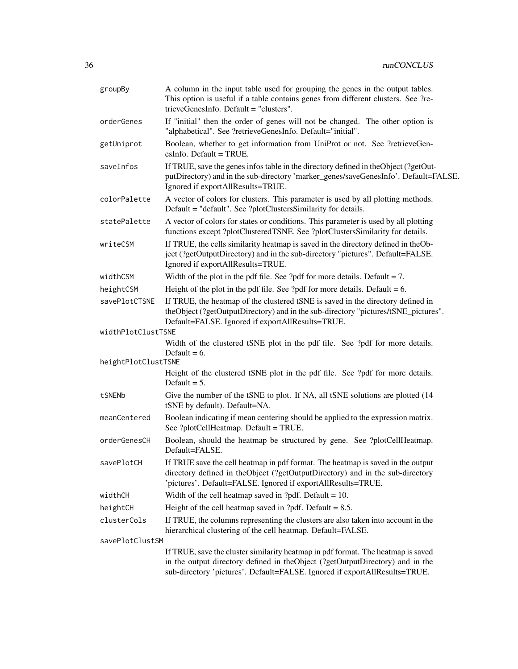| groupBy             | A column in the input table used for grouping the genes in the output tables.<br>This option is useful if a table contains genes from different clusters. See ?re-<br>trieveGenesInfo. Default = "clusters".                                    |
|---------------------|-------------------------------------------------------------------------------------------------------------------------------------------------------------------------------------------------------------------------------------------------|
| orderGenes          | If "initial" then the order of genes will not be changed. The other option is<br>"alphabetical". See ?retrieveGenesInfo. Default="initial".                                                                                                     |
| getUniprot          | Boolean, whether to get information from UniProt or not. See ?retrieveGen-<br>esInfo. Default $=$ TRUE.                                                                                                                                         |
| saveInfos           | If TRUE, save the genes infos table in the directory defined in the Object (?getOut-<br>putDirectory) and in the sub-directory 'marker_genes/saveGenesInfo'. Default=FALSE.<br>Ignored if exportAllResults=TRUE.                                |
| colorPalette        | A vector of colors for clusters. This parameter is used by all plotting methods.<br>Default = "default". See ?plotClustersSimilarity for details.                                                                                               |
| statePalette        | A vector of colors for states or conditions. This parameter is used by all plotting<br>functions except ?plotClusteredTSNE. See ?plotClustersSimilarity for details.                                                                            |
| writeCSM            | If TRUE, the cells similarity heatmap is saved in the directory defined in the Ob-<br>ject (?getOutputDirectory) and in the sub-directory "pictures". Default=FALSE.<br>Ignored if exportAllResults=TRUE.                                       |
| widthCSM            | Width of the plot in the pdf file. See ?pdf for more details. Default $= 7$ .                                                                                                                                                                   |
| heightCSM           | Height of the plot in the pdf file. See ?pdf for more details. Default = $6$ .                                                                                                                                                                  |
| savePlotCTSNE       | If TRUE, the heatmap of the clustered tSNE is saved in the directory defined in<br>theObject (?getOutputDirectory) and in the sub-directory "pictures/tSNE_pictures".<br>Default=FALSE. Ignored if exportAllResults=TRUE.                       |
| widthPlotClustTSNE  |                                                                                                                                                                                                                                                 |
|                     | Width of the clustered tSNE plot in the pdf file. See ?pdf for more details.<br>Default = $6$ .                                                                                                                                                 |
| heightPlotClustTSNE |                                                                                                                                                                                                                                                 |
|                     | Height of the clustered tSNE plot in the pdf file. See ?pdf for more details.<br>Default $= 5$ .                                                                                                                                                |
| tSNENb              | Give the number of the tSNE to plot. If NA, all tSNE solutions are plotted (14<br>tSNE by default). Default=NA.                                                                                                                                 |
| meanCentered        | Boolean indicating if mean centering should be applied to the expression matrix.<br>See ?plotCellHeatmap. Default = TRUE.                                                                                                                       |
| orderGenesCH        | Boolean, should the heatmap be structured by gene. See ?plotCellHeatmap.<br>Default=FALSE.                                                                                                                                                      |
| savePlotCH          | If TRUE save the cell heatmap in pdf format. The heatmap is saved in the output<br>directory defined in theObject (?getOutputDirectory) and in the sub-directory<br>'pictures'. Default=FALSE. Ignored if exportAllResults=TRUE.                |
| widthCH             | Width of the cell heatmap saved in ?pdf. Default = $10$ .                                                                                                                                                                                       |
| heightCH            | Height of the cell heatmap saved in ?pdf. Default = $8.5$ .                                                                                                                                                                                     |
| clusterCols         | If TRUE, the columns representing the clusters are also taken into account in the<br>hierarchical clustering of the cell heatmap. Default=FALSE.                                                                                                |
| savePlotClustSM     |                                                                                                                                                                                                                                                 |
|                     | If TRUE, save the cluster similarity heatmap in pdf format. The heatmap is saved<br>in the output directory defined in theObject (?getOutputDirectory) and in the<br>sub-directory 'pictures'. Default=FALSE. Ignored if exportAllResults=TRUE. |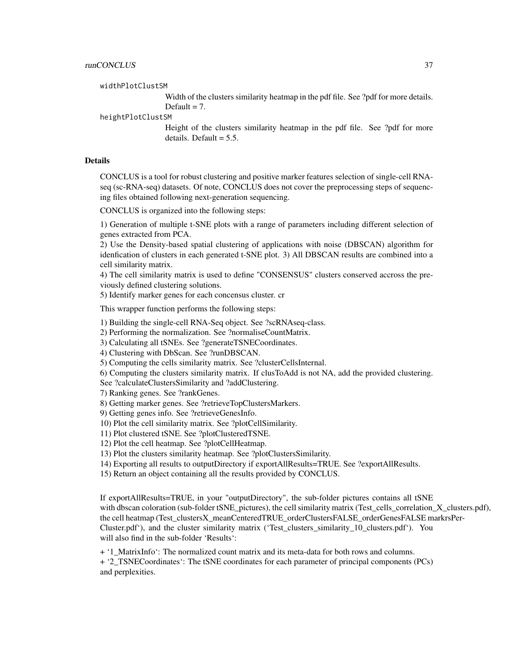widthPlotClustSM

Width of the clusters similarity heatmap in the pdf file. See ?pdf for more details. Default  $= 7$ .

heightPlotClustSM

Height of the clusters similarity heatmap in the pdf file. See ?pdf for more details. Default  $= 5.5$ .

#### Details

CONCLUS is a tool for robust clustering and positive marker features selection of single-cell RNAseq (sc-RNA-seq) datasets. Of note, CONCLUS does not cover the preprocessing steps of sequencing files obtained following next-generation sequencing.

CONCLUS is organized into the following steps:

1) Generation of multiple t-SNE plots with a range of parameters including different selection of genes extracted from PCA.

2) Use the Density-based spatial clustering of applications with noise (DBSCAN) algorithm for idenfication of clusters in each generated t-SNE plot. 3) All DBSCAN results are combined into a cell similarity matrix.

4) The cell similarity matrix is used to define "CONSENSUS" clusters conserved accross the previously defined clustering solutions.

5) Identify marker genes for each concensus cluster. cr

This wrapper function performs the following steps:

1) Building the single-cell RNA-Seq object. See ?scRNAseq-class.

2) Performing the normalization. See ?normaliseCountMatrix.

3) Calculating all tSNEs. See ?generateTSNECoordinates.

4) Clustering with DbScan. See ?runDBSCAN.

5) Computing the cells similarity matrix. See ?clusterCellsInternal.

6) Computing the clusters similarity matrix. If clusToAdd is not NA, add the provided clustering.

See ?calculateClustersSimilarity and ?addClustering.

7) Ranking genes. See ?rankGenes.

8) Getting marker genes. See ?retrieveTopClustersMarkers.

9) Getting genes info. See ?retrieveGenesInfo.

10) Plot the cell similarity matrix. See ?plotCellSimilarity.

11) Plot clustered tSNE. See ?plotClusteredTSNE.

12) Plot the cell heatmap. See ?plotCellHeatmap.

13) Plot the clusters similarity heatmap. See ?plotClustersSimilarity.

14) Exporting all results to outputDirectory if exportAllResults=TRUE. See ?exportAllResults.

15) Return an object containing all the results provided by CONCLUS.

If exportAllResults=TRUE, in your "outputDirectory", the sub-folder pictures contains all tSNE with dbscan coloration (sub-folder tSNE pictures), the cell similarity matrix (Test cells correlation  $X$  clusters.pdf), the cell heatmap (Test\_clustersX\_meanCenteredTRUE\_orderClustersFALSE\_orderGenesFALSE markrsPer-Cluster.pdf'), and the cluster similarity matrix ('Test\_clusters\_similarity\_10\_clusters.pdf'). You will also find in the sub-folder 'Results':

+ '1\_MatrixInfo': The normalized count matrix and its meta-data for both rows and columns.

+ '2\_TSNECoordinates': The tSNE coordinates for each parameter of principal components (PCs) and perplexities.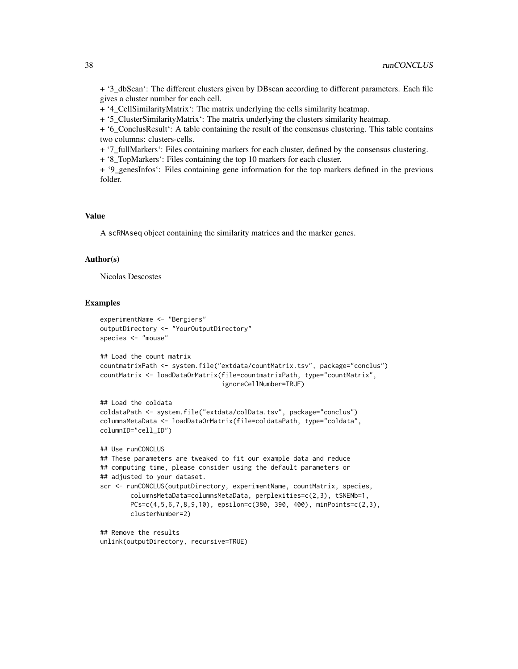+ '3\_dbScan': The different clusters given by DBscan according to different parameters. Each file gives a cluster number for each cell.

+ '4\_CellSimilarityMatrix': The matrix underlying the cells similarity heatmap.

+ '5\_ClusterSimilarityMatrix': The matrix underlying the clusters similarity heatmap.

+ '6\_ConclusResult': A table containing the result of the consensus clustering. This table contains two columns: clusters-cells.

+ '7\_fullMarkers': Files containing markers for each cluster, defined by the consensus clustering.

+ '8\_TopMarkers': Files containing the top 10 markers for each cluster.

+ '9\_genesInfos': Files containing gene information for the top markers defined in the previous folder.

#### Value

A scRNAseq object containing the similarity matrices and the marker genes.

# Author(s)

Nicolas Descostes

#### Examples

```
experimentName <- "Bergiers"
outputDirectory <- "YourOutputDirectory"
species <- "mouse"
```

```
## Load the count matrix
countmatrixPath <- system.file("extdata/countMatrix.tsv", package="conclus")
countMatrix <- loadDataOrMatrix(file=countmatrixPath, type="countMatrix",
                                ignoreCellNumber=TRUE)
```

```
## Load the coldata
coldataPath <- system.file("extdata/colData.tsv", package="conclus")
columnsMetaData <- loadDataOrMatrix(file=coldataPath, type="coldata",
columnID="cell_ID")
```

```
## Use runCONCLUS
## These parameters are tweaked to fit our example data and reduce
## computing time, please consider using the default parameters or
## adjusted to your dataset.
scr <- runCONCLUS(outputDirectory, experimentName, countMatrix, species,
       columnsMetaData=columnsMetaData, perplexities=c(2,3), tSNENb=1,
       PCs=c(4,5,6,7,8,9,10), epsilon=c(380, 390, 400), minPoints=c(2,3),
       clusterNumber=2)
```
## Remove the results unlink(outputDirectory, recursive=TRUE)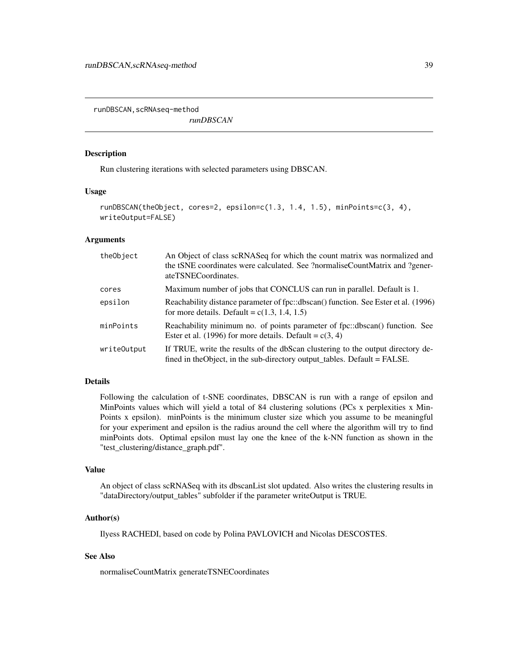<span id="page-38-0"></span>runDBSCAN, scRNAseq-method

*runDBSCAN*

# **Description**

Run clustering iterations with selected parameters using DBSCAN.

# Usage

```
runDBSCAN(theObject, cores=2, epsilon=c(1.3, 1.4, 1.5), minPoints=c(3, 4),
writeOutput=FALSE)
```
# Arguments

| theObject   | An Object of class scRNASeq for which the count matrix was normalized and<br>the tSNE coordinates were calculated. See ?normaliseCountMatrix and ?gener-<br>ateTSNECoordinates. |
|-------------|---------------------------------------------------------------------------------------------------------------------------------------------------------------------------------|
| cores       | Maximum number of jobs that CONCLUS can run in parallel. Default is 1.                                                                                                          |
| epsilon     | Reachability distance parameter of fpc::dbscan() function. See Ester et al. (1996)<br>for more details. Default = $c(1.3, 1.4, 1.5)$                                            |
| minPoints   | Reachability minimum no. of points parameter of fpc::dbscan() function. See<br>Ester et al. (1996) for more details. Default = $c(3, 4)$                                        |
| writeOutput | If TRUE, write the results of the dbScan clustering to the output directory de-<br>fined in the Object, in the sub-directory output_tables. Default = FALSE.                    |

# Details

Following the calculation of t-SNE coordinates, DBSCAN is run with a range of epsilon and MinPoints values which will yield a total of 84 clustering solutions (PCs x perplexities x Min-Points x epsilon). minPoints is the minimum cluster size which you assume to be meaningful for your experiment and epsilon is the radius around the cell where the algorithm will try to find minPoints dots. Optimal epsilon must lay one the knee of the k-NN function as shown in the "test\_clustering/distance\_graph.pdf".

# Value

An object of class scRNASeq with its dbscanList slot updated. Also writes the clustering results in "dataDirectory/output\_tables" subfolder if the parameter writeOutput is TRUE.

### Author(s)

Ilyess RACHEDI, based on code by Polina PAVLOVICH and Nicolas DESCOSTES.

# See Also

normaliseCountMatrix generateTSNECoordinates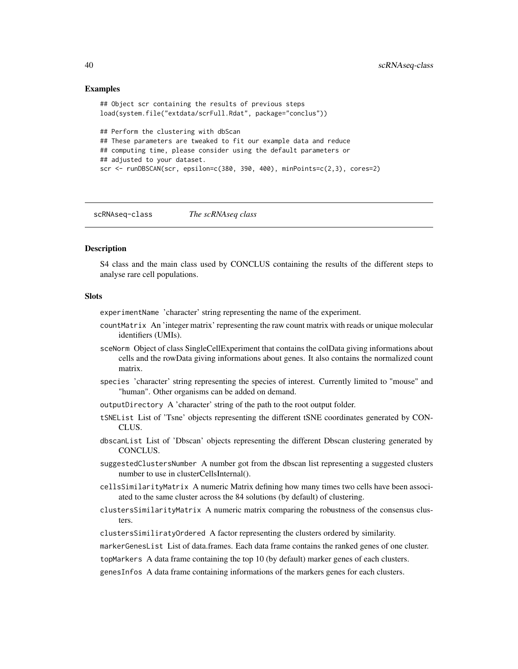# <span id="page-39-0"></span>Examples

```
## Object scr containing the results of previous steps
load(system.file("extdata/scrFull.Rdat", package="conclus"))
## Perform the clustering with dbScan
## These parameters are tweaked to fit our example data and reduce
## computing time, please consider using the default parameters or
## adjusted to your dataset.
scr <- runDBSCAN(scr, epsilon=c(380, 390, 400), minPoints=c(2,3), cores=2)
```
scRNAseq-class *The scRNAseq class*

#### Description

S4 class and the main class used by CONCLUS containing the results of the different steps to analyse rare cell populations.

#### **Slots**

experimentName 'character' string representing the name of the experiment.

- countMatrix An 'integer matrix' representing the raw count matrix with reads or unique molecular identifiers (UMIs).
- sceNorm Object of class SingleCellExperiment that contains the colData giving informations about cells and the rowData giving informations about genes. It also contains the normalized count matrix.
- species 'character' string representing the species of interest. Currently limited to "mouse" and "human". Other organisms can be added on demand.
- outputDirectory A 'character' string of the path to the root output folder.
- tSNEList List of 'Tsne' objects representing the different tSNE coordinates generated by CON-CLUS.
- dbscanList List of 'Dbscan' objects representing the different Dbscan clustering generated by CONCLUS.
- suggestedClustersNumber A number got from the dbscan list representing a suggested clusters number to use in clusterCellsInternal().
- cellsSimilarityMatrix A numeric Matrix defining how many times two cells have been associated to the same cluster across the 84 solutions (by default) of clustering.
- clustersSimilarityMatrix A numeric matrix comparing the robustness of the consensus clusters.
- clustersSimiliratyOrdered A factor representing the clusters ordered by similarity.

markerGenesList List of data.frames. Each data frame contains the ranked genes of one cluster.

topMarkers A data frame containing the top 10 (by default) marker genes of each clusters.

genesInfos A data frame containing informations of the markers genes for each clusters.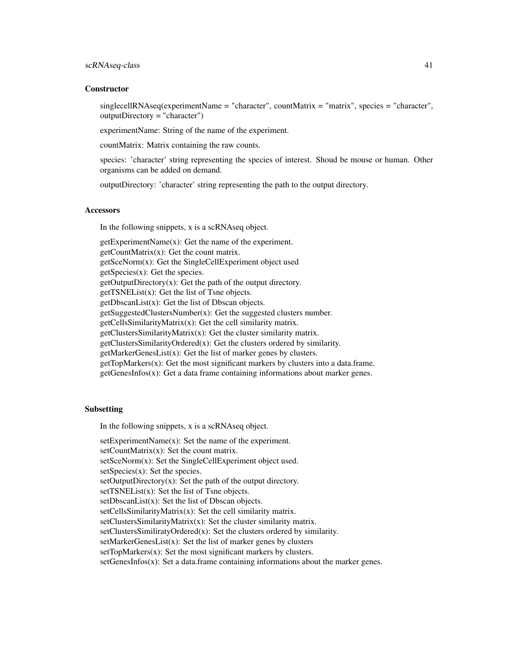## scRNAseq-class 41

#### **Constructor**

singlecellRNAseq(experimentName = "character", countMatrix = "matrix", species = "character", outputDirectory = "character")

experimentName: String of the name of the experiment.

countMatrix: Matrix containing the raw counts.

species: 'character' string representing the species of interest. Shoud be mouse or human. Other organisms can be added on demand.

outputDirectory: 'character' string representing the path to the output directory.

#### **Accessors**

In the following snippets, x is a scRNAseq object.

getExperimentName(x): Get the name of the experiment. getCountMatrix(x): Get the count matrix. getSceNorm(x): Get the SingleCellExperiment object used getSpecies(x): Get the species.  $getOutputDirectory(x): Get the path of the output directory.$ getTSNEList(x): Get the list of Tsne objects. getDbscanList(x): Get the list of Dbscan objects. getSuggestedClustersNumber $(x)$ : Get the suggested clusters number. getCellsSimilarityMatrix(x): Get the cell similarity matrix. getClustersSimilarityMatrix(x): Get the cluster similarity matrix. getClustersSimilarityOrdered(x): Get the clusters ordered by similarity. getMarkerGenesList(x): Get the list of marker genes by clusters. getTopMarkers(x): Get the most significant markers by clusters into a data.frame.  $getGenesInfos(x)$ : Get a data frame containing informations about marker genes.

# Subsetting

In the following snippets, x is a scRNAseq object.

setExperimentName(x): Set the name of the experiment. setCountMatrix(x): Set the count matrix. setSceNorm(x): Set the SingleCellExperiment object used. setSpecies(x): Set the species.  $setOutputDirectory(x)$ : Set the path of the output directory. setTSNEList(x): Set the list of Tsne objects. setDbscanList(x): Set the list of Dbscan objects. setCellsSimilarityMatrix(x): Set the cell similarity matrix. setClustersSimilarityMatrix(x): Set the cluster similarity matrix. setClustersSimiliratyOrdered(x): Set the clusters ordered by similarity. setMarkerGenesList $(x)$ : Set the list of marker genes by clusters  $setTopMarkers(x)$ : Set the most significant markers by clusters. setGenesInfos(x): Set a data.frame containing informations about the marker genes.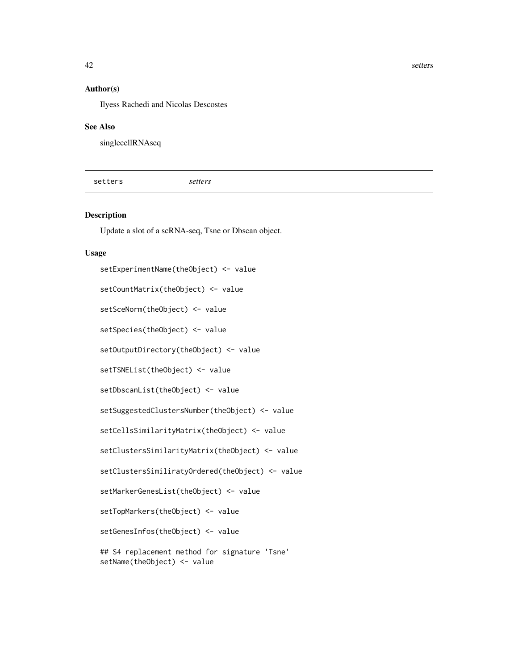<span id="page-41-0"></span>42 setters and the setters of the setters of the setters of the setters of the setters of the setters of the setters of the setters of the setters of the setters of the setters of the setters of the setters of the setters

#### Author(s)

Ilyess Rachedi and Nicolas Descostes

#### See Also

singlecellRNAseq

setters *setters*

# Description

Update a slot of a scRNA-seq, Tsne or Dbscan object.

#### Usage

setExperimentName(theObject) <- value setCountMatrix(theObject) <- value setSceNorm(theObject) <- value setSpecies(theObject) <- value setOutputDirectory(theObject) <- value setTSNEList(theObject) <- value setDbscanList(theObject) <- value setSuggestedClustersNumber(theObject) <- value setCellsSimilarityMatrix(theObject) <- value setClustersSimilarityMatrix(theObject) <- value setClustersSimiliratyOrdered(theObject) <- value setMarkerGenesList(theObject) <- value setTopMarkers(theObject) <- value setGenesInfos(theObject) <- value ## S4 replacement method for signature 'Tsne'

setName(theObject) <- value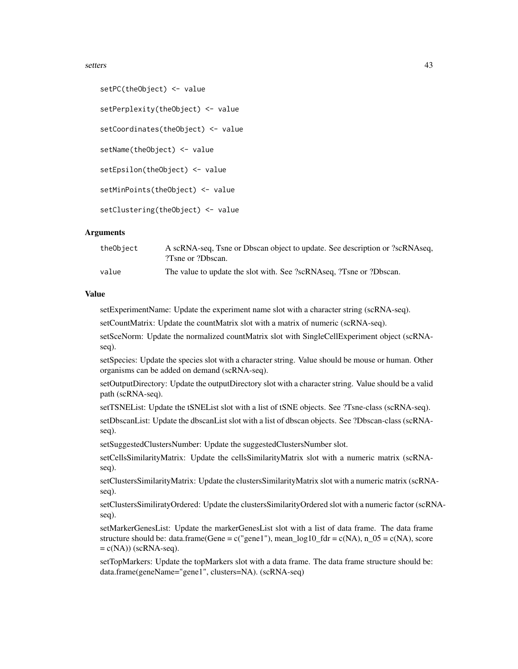#### setters and the setters of the setters and the setters of the setters of the setters of the setters of the set

```
setPC(theObject) <- value
setPerplexity(theObject) <- value
setCoordinates(theObject) <- value
setName(theObject) <- value
setEpsilon(theObject) <- value
setMinPoints(theObject) <- value
setClustering(theObject) <- value
```
# Arguments

| theObject | A scRNA-seq, Tsne or Dbscan object to update. See description or ?scRNAseq,<br>?Tsne or ?Dbscan. |
|-----------|--------------------------------------------------------------------------------------------------|
| value     | The value to update the slot with. See ?scRNAseq, ?Tsne or ?Dbscan.                              |

## Value

setExperimentName: Update the experiment name slot with a character string (scRNA-seq).

setCountMatrix: Update the countMatrix slot with a matrix of numeric (scRNA-seq).

setSceNorm: Update the normalized countMatrix slot with SingleCellExperiment object (scRNAseq).

setSpecies: Update the species slot with a character string. Value should be mouse or human. Other organisms can be added on demand (scRNA-seq).

setOutputDirectory: Update the outputDirectory slot with a character string. Value should be a valid path (scRNA-seq).

setTSNEList: Update the tSNEList slot with a list of tSNE objects. See ?Tsne-class (scRNA-seq).

setDbscanList: Update the dbscanList slot with a list of dbscan objects. See ?Dbscan-class (scRNAseq).

setSuggestedClustersNumber: Update the suggestedClustersNumber slot.

setCellsSimilarityMatrix: Update the cellsSimilarityMatrix slot with a numeric matrix (scRNAseq).

setClustersSimilarityMatrix: Update the clustersSimilarityMatrix slot with a numeric matrix (scRNAseq).

setClustersSimiliratyOrdered: Update the clustersSimilarityOrdered slot with a numeric factor (scRNAseq).

setMarkerGenesList: Update the markerGenesList slot with a list of data frame. The data frame structure should be: data.frame(Gene =  $c$ ("gene1"), mean\_log10\_fdr =  $c(NA)$ , n\_05 =  $c(NA)$ , score  $= c(NA))$  (scRNA-seq).

setTopMarkers: Update the topMarkers slot with a data frame. The data frame structure should be: data.frame(geneName="gene1", clusters=NA). (scRNA-seq)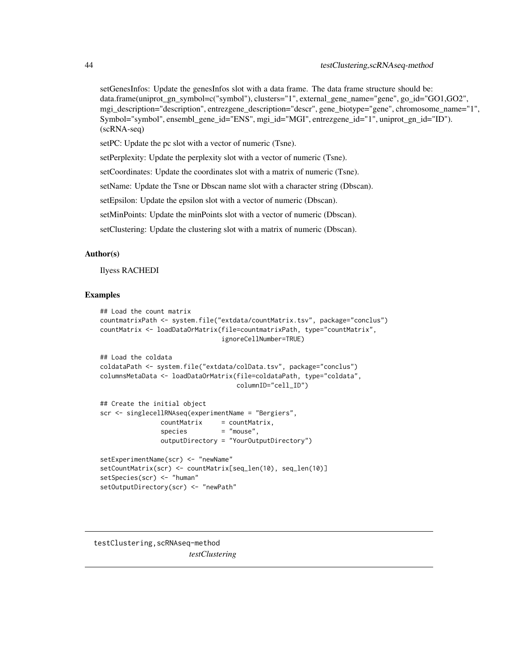<span id="page-43-0"></span>setGenesInfos: Update the genesInfos slot with a data frame. The data frame structure should be: data.frame(uniprot\_gn\_symbol=c("symbol"), clusters="1", external\_gene\_name="gene", go\_id="GO1,GO2", mgi\_description="description", entrezgene\_description="descr", gene\_biotype="gene", chromosome\_name="1", Symbol="symbol", ensembl\_gene\_id="ENS", mgi\_id="MGI", entrezgene\_id="1", uniprot\_gn\_id="ID"). (scRNA-seq)

setPC: Update the pc slot with a vector of numeric (Tsne).

setPerplexity: Update the perplexity slot with a vector of numeric (Tsne).

setCoordinates: Update the coordinates slot with a matrix of numeric (Tsne).

setName: Update the Tsne or Dbscan name slot with a character string (Dbscan).

setEpsilon: Update the epsilon slot with a vector of numeric (Dbscan).

setMinPoints: Update the minPoints slot with a vector of numeric (Dbscan).

setClustering: Update the clustering slot with a matrix of numeric (Dbscan).

#### Author(s)

Ilyess RACHEDI

# Examples

```
## Load the count matrix
countmatrixPath <- system.file("extdata/countMatrix.tsv", package="conclus")
countMatrix <- loadDataOrMatrix(file=countmatrixPath, type="countMatrix",
                               ignoreCellNumber=TRUE)
## Load the coldata
coldataPath <- system.file("extdata/colData.tsv", package="conclus")
columnsMetaData <- loadDataOrMatrix(file=coldataPath, type="coldata",
                                   columnID="cell_ID")
## Create the initial object
scr <- singlecellRNAseq(experimentName = "Bergiers",
               countMatrix = countMatrix,
                species = "mouse",outputDirectory = "YourOutputDirectory")
setExperimentName(scr) <- "newName"
setCountMatrix(scr) <- countMatrix[seq_len(10), seq_len(10)]
setSpecies(scr) <- "human"
setOutputDirectory(scr) <- "newPath"
```
testClustering,scRNAseq-method *testClustering*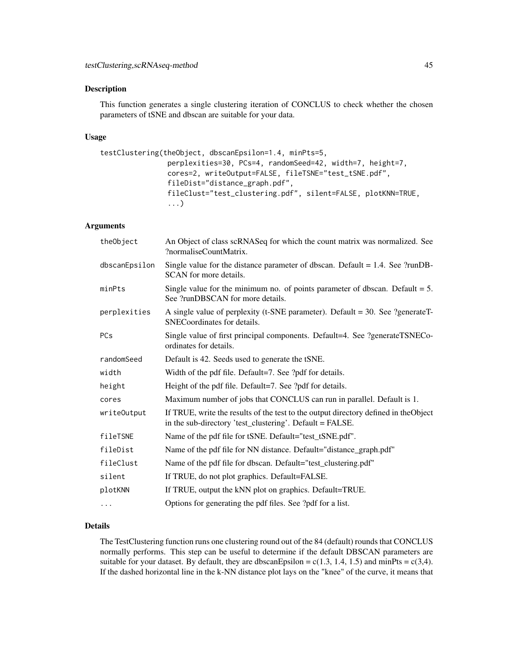# Description

This function generates a single clustering iteration of CONCLUS to check whether the chosen parameters of tSNE and dbscan are suitable for your data.

#### Usage

```
testClustering(theObject, dbscanEpsilon=1.4, minPts=5,
                perplexities=30, PCs=4, randomSeed=42, width=7, height=7,
                cores=2, writeOutput=FALSE, fileTSNE="test_tSNE.pdf",
                fileDist="distance_graph.pdf",
                fileClust="test_clustering.pdf", silent=FALSE, plotKNN=TRUE,
                ...)
```
# Arguments

| theObject     | An Object of class scRNASeq for which the count matrix was normalized. See<br>?normaliseCountMatrix.                                             |
|---------------|--------------------------------------------------------------------------------------------------------------------------------------------------|
| dbscanEpsilon | Single value for the distance parameter of dbscan. Default $= 1.4$ . See ?runDB-<br>SCAN for more details.                                       |
| minPts        | Single value for the minimum no. of points parameter of dbscan. Default $= 5$ .<br>See ?runDBSCAN for more details.                              |
| perplexities  | A single value of perplexity (t-SNE parameter). Default = $30$ . See ?generateT-<br>SNECoordinates for details.                                  |
| PCs           | Single value of first principal components. Default=4. See ?generateTSNECo-<br>ordinates for details.                                            |
| randomSeed    | Default is 42. Seeds used to generate the tSNE.                                                                                                  |
| width         | Width of the pdf file. Default=7. See ?pdf for details.                                                                                          |
| height        | Height of the pdf file. Default=7. See ?pdf for details.                                                                                         |
| cores         | Maximum number of jobs that CONCLUS can run in parallel. Default is 1.                                                                           |
| writeOutput   | If TRUE, write the results of the test to the output directory defined in the Object<br>in the sub-directory 'test_clustering'. Default = FALSE. |
| fileTSNE      | Name of the pdf file for tSNE. Default="test_tSNE.pdf".                                                                                          |
| fileDist      | Name of the pdf file for NN distance. Default="distance_graph.pdf"                                                                               |
| fileClust     | Name of the pdf file for dbscan. Default="test_clustering.pdf"                                                                                   |
| silent        | If TRUE, do not plot graphics. Default=FALSE.                                                                                                    |
| plotKNN       | If TRUE, output the kNN plot on graphics. Default=TRUE.                                                                                          |
| $\cdots$      | Options for generating the pdf files. See ?pdf for a list.                                                                                       |

#### Details

The TestClustering function runs one clustering round out of the 84 (default) rounds that CONCLUS normally performs. This step can be useful to determine if the default DBSCAN parameters are suitable for your dataset. By default, they are dbscanEpsilon =  $c(1.3, 1.4, 1.5)$  and minPts =  $c(3.4)$ . If the dashed horizontal line in the k-NN distance plot lays on the "knee" of the curve, it means that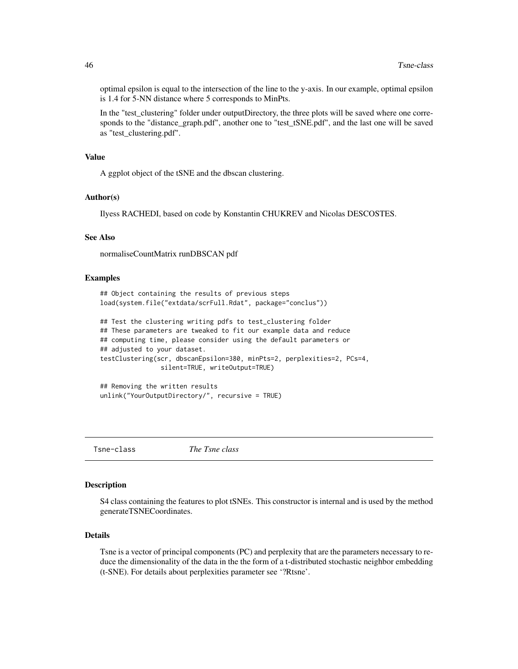optimal epsilon is equal to the intersection of the line to the y-axis. In our example, optimal epsilon is 1.4 for 5-NN distance where 5 corresponds to MinPts.

In the "test\_clustering" folder under outputDirectory, the three plots will be saved where one corresponds to the "distance\_graph.pdf", another one to "test\_tSNE.pdf", and the last one will be saved as "test\_clustering.pdf".

#### Value

A ggplot object of the tSNE and the dbscan clustering.

#### Author(s)

Ilyess RACHEDI, based on code by Konstantin CHUKREV and Nicolas DESCOSTES.

# See Also

normaliseCountMatrix runDBSCAN pdf

#### Examples

```
## Object containing the results of previous steps
load(system.file("extdata/scrFull.Rdat", package="conclus"))
```

```
## Test the clustering writing pdfs to test_clustering folder
## These parameters are tweaked to fit our example data and reduce
## computing time, please consider using the default parameters or
## adjusted to your dataset.
testClustering(scr, dbscanEpsilon=380, minPts=2, perplexities=2, PCs=4,
                silent=TRUE, writeOutput=TRUE)
```
## Removing the written results unlink("YourOutputDirectory/", recursive = TRUE)

Tsne-class *The Tsne class*

#### **Description**

S4 class containing the features to plot tSNEs. This constructor is internal and is used by the method generateTSNECoordinates.

#### Details

Tsne is a vector of principal components (PC) and perplexity that are the parameters necessary to reduce the dimensionality of the data in the the form of a t-distributed stochastic neighbor embedding (t-SNE). For details about perplexities parameter see '?Rtsne'.

<span id="page-45-0"></span>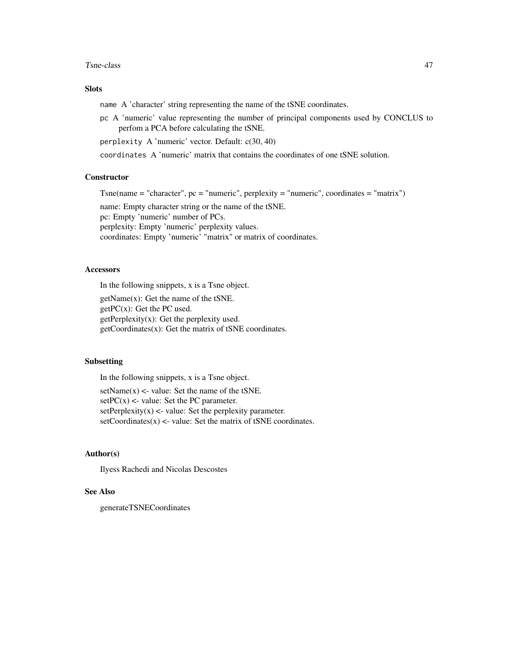#### Tsne-class 47

# **Slots**

name A 'character' string representing the name of the tSNE coordinates.

pc A 'numeric' value representing the number of principal components used by CONCLUS to perfom a PCA before calculating the tSNE.

perplexity A 'numeric' vector. Default: c(30, 40)

coordinates A 'numeric' matrix that contains the coordinates of one tSNE solution.

# **Constructor**

 $T\text{sne}$ (name = "character", pc = "numeric", perplexity = "numeric", coordinates = "matrix")

name: Empty character string or the name of the tSNE. pc: Empty 'numeric' number of PCs. perplexity: Empty 'numeric' perplexity values. coordinates: Empty 'numeric' "matrix" or matrix of coordinates.

#### Accessors

In the following snippets, x is a Tsne object.

getName(x): Get the name of the tSNE.  $getPC(x)$ : Get the PC used.  $getPerplexity(x)$ : Get the perplexity used. getCoordinates(x): Get the matrix of tSNE coordinates.

# **Subsetting**

In the following snippets, x is a Tsne object.

 $setName(x) < value$ : Set the name of the tSNE.  $setPC(x)$  <- value: Set the PC parameter.  $setPerplexity(x) \leq value$ : Set the perplexity parameter.  $setCoordinates(x) \leq value$ : Set the matrix of tSNE coordinates.

# Author(s)

Ilyess Rachedi and Nicolas Descostes

#### See Also

generateTSNECoordinates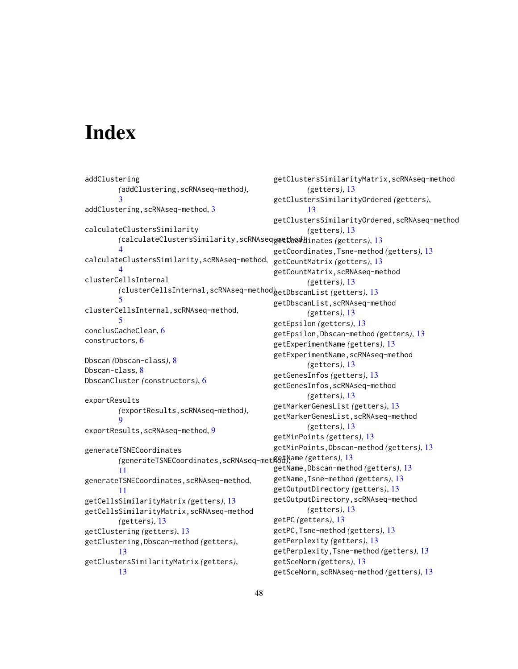# <span id="page-47-0"></span>**Index**

```
addClustering
        (addClustering,scRNAseq-method),
        3
addClustering,scRNAseq-method, 3
calculateClustersSimilarity
        (calculateClustersSimilarity,scRNAseq-method),
getCoordinates (getters), 13
        4
calculateClustersSimilarity,scRNAseq-method,
        4
clusterCellsInternal
        (clusterCellsInternal,scRNAseq-method),
getDbscanList (getters), 13
        5
clusterCellsInternal,scRNAseq-method,
        5
conclusCacheClear, 6
constructors, 6
Dbscan (Dbscan-class), 8
Dbscan-class, 8
DbscanCluster (constructors), 6
exportResults
        (exportResults,scRNAseq-method),
        9
exportResults,scRNAseq-method, 9
generateTSNECoordinates
        (generateTSNECoordinates,scRNAseq-metß&d),ame (getters),13
        11
generateTSNECoordinates,scRNAseq-method,
        11
getCellsSimilarityMatrix (getters), 13
getCellsSimilarityMatrix,scRNAseq-method
        (getters), 13
getClustering (getters), 13
getClustering,Dbscan-method (getters),
        13
getClustersSimilarityMatrix (getters),
        13
                                               getClustersSimilarityMatrix,scRNAseq-method
                                                        (getters), 13
                                                getClustersSimilarityOrdered (getters),
                                                        13
                                                getClustersSimilarityOrdered,scRNAseq-method
                                                        (getters), 13
                                                getCoordinates,Tsne-method (getters), 13
                                               getCountMatrix (getters), 13
                                                getCountMatrix,scRNAseq-method
                                                        (getters), 13
                                                getDbscanList,scRNAseq-method
                                                        (getters), 13
                                               getEpsilon (getters), 13
                                               getEpsilon,Dbscan-method (getters), 13
                                                getExperimentName (getters), 13
                                               getExperimentName,scRNAseq-method
                                                        (getters), 13
                                                getGenesInfos (getters), 13
                                                getGenesInfos,scRNAseq-method
                                                        (getters), 13
                                                getMarkerGenesList (getters), 13
                                                getMarkerGenesList,scRNAseq-method
                                                        (getters), 13
                                                getMinPoints (getters), 13
                                                getMinPoints,Dbscan-method (getters), 13
                                                getName,Dbscan-method (getters), 13
                                                getName,Tsne-method (getters), 13
                                               getOutputDirectory (getters), 13
                                                getOutputDirectory,scRNAseq-method
                                                        (getters), 13
                                               getPC (getters), 13
                                               getPC,Tsne-method (getters), 13
                                                getPerplexity (getters), 13
                                               getPerplexity,Tsne-method (getters), 13
                                               getSceNorm (getters), 13
                                               getSceNorm,scRNAseq-method (getters), 13
```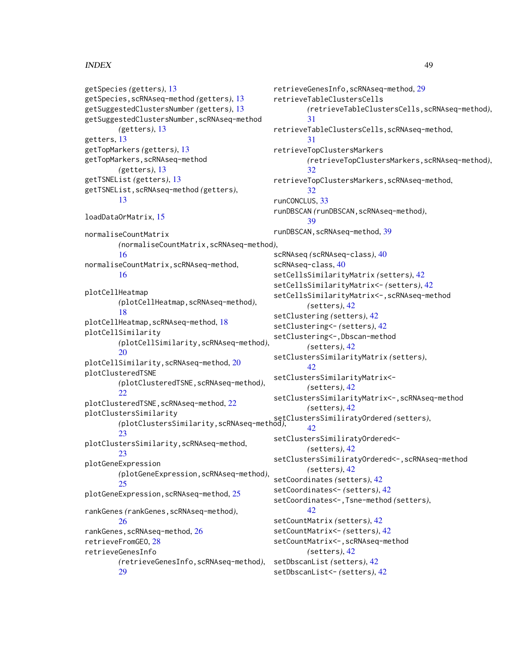# INDEX 49

```
getSpecies (getters), 13
getSpecies,scRNAseq-method (getters), 13
getSuggestedClustersNumber (getters), 13
getSuggestedClustersNumber,scRNAseq-method
        (getters), 13
getters, 13
getTopMarkers (getters), 13
getTopMarkers,scRNAseq-method
        (getters), 13
getTSNEList (getters), 13
getTSNEList,scRNAseq-method (getters),
        13
loadDataOrMatrix, 15
normaliseCountMatrix
        (normaliseCountMatrix,scRNAseq-method),
        16
normaliseCountMatrix,scRNAseq-method,
        16
plotCellHeatmap
        (plotCellHeatmap,scRNAseq-method),
        18
plotCellHeatmap,scRNAseq-method, 18
plotCellSimilarity
        (plotCellSimilarity,scRNAseq-method),
        20
plotCellSimilarity,scRNAseq-method, 20
plotClusteredTSNE
        (plotClusteredTSNE,scRNAseq-method),
        22
plotClusteredTSNE,scRNAseq-method, 22
plotClustersSimilarity
        (plotClustersSimilarity,scRNAseq-method),
setClustersSimiliratyOrdered (setters),
        23
plotClustersSimilarity,scRNAseq-method,
        23plotGeneExpression
        (plotGeneExpression,scRNAseq-method),
        25
plotGeneExpression,scRNAseq-method, 25
rankGenes (rankGenes,scRNAseq-method),
        26
rankGenes,scRNAseq-method, 26
retrieveFromGEO, 28
retrieveGenesInfo
        (retrieveGenesInfo,scRNAseq-method),
        29
                                                        31
                                                        31
                                                        32
                                                        32
                                               runCONCLUS, 33
                                                        39
                                                       42
                                                        42
                                                       42
                                               setDbscanList (setters), 42
                                               setDbscanList<- (setters), 42
```
retrieveGenesInfo,scRNAseq-method, [29](#page-28-0) retrieveTableClustersCells *(*retrieveTableClustersCells,scRNAseq-method*)*, retrieveTableClustersCells,scRNAseq-method, retrieveTopClustersMarkers *(*retrieveTopClustersMarkers,scRNAseq-method*)*, retrieveTopClustersMarkers,scRNAseq-method, runDBSCAN *(*runDBSCAN,scRNAseq-method*)*, runDBSCAN, scRNAseq-method, [39](#page-38-0) scRNAseq *(*scRNAseq-class*)*, [40](#page-39-0) scRNAseq-class, [40](#page-39-0) setCellsSimilarityMatrix *(*setters*)*, [42](#page-41-0) setCellsSimilarityMatrix<- *(*setters*)*, [42](#page-41-0) setCellsSimilarityMatrix<-,scRNAseq-method *(*setters*)*, [42](#page-41-0) setClustering *(*setters*)*, [42](#page-41-0) setClustering<- *(*setters*)*, [42](#page-41-0) setClustering<-,Dbscan-method *(*setters*)*, [42](#page-41-0) setClustersSimilarityMatrix *(*setters*)*, setClustersSimilarityMatrix<- *(*setters*)*, [42](#page-41-0) setClustersSimilarityMatrix<-,scRNAseq-method *(*setters*)*, [42](#page-41-0) setClustersSimiliratyOrdered<- *(*setters*)*, [42](#page-41-0) setClustersSimiliratyOrdered<-,scRNAseq-method *(*setters*)*, [42](#page-41-0) setCoordinates *(*setters*)*, [42](#page-41-0) setCoordinates<- *(*setters*)*, [42](#page-41-0) setCoordinates<-,Tsne-method *(*setters*)*, setCountMatrix *(*setters*)*, [42](#page-41-0) setCountMatrix<- *(*setters*)*, [42](#page-41-0) setCountMatrix<-,scRNAseq-method *(*setters*)*, [42](#page-41-0)